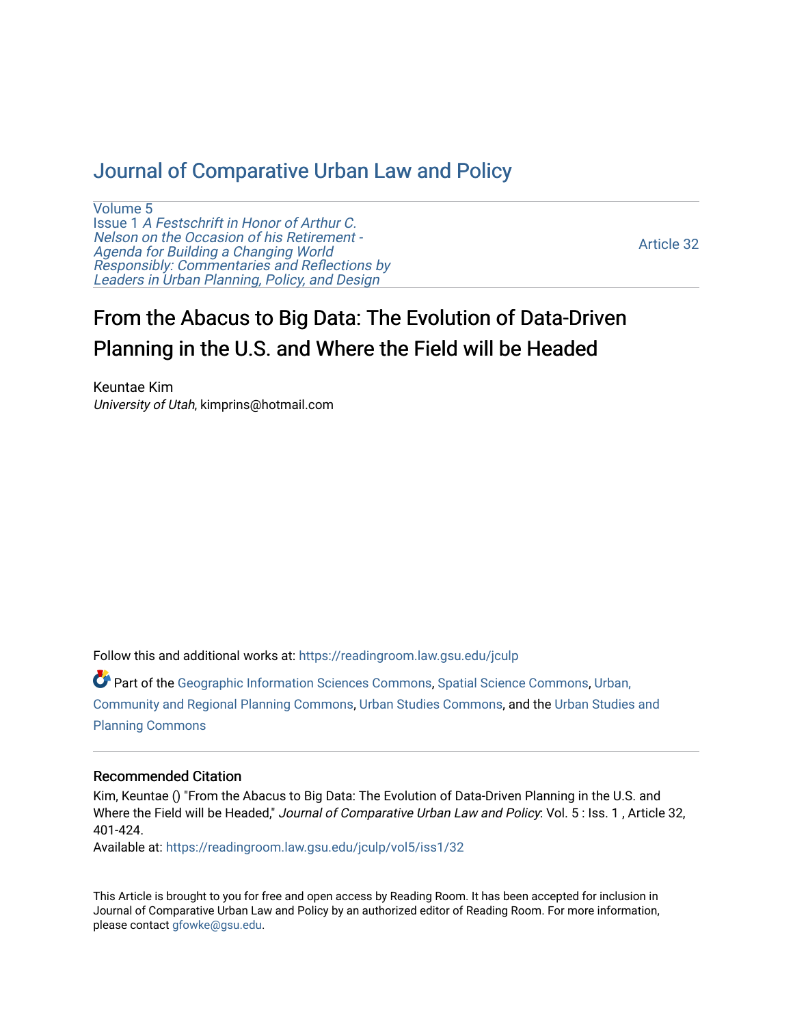# [Journal of Comparative Urban Law and Policy](https://readingroom.law.gsu.edu/jculp)

[Volume 5](https://readingroom.law.gsu.edu/jculp/vol5) Issue 1 [A Festschrift in Honor of Arthur C.](https://readingroom.law.gsu.edu/jculp/vol5/iss1) [Nelson on the Occasion of his Retirement -](https://readingroom.law.gsu.edu/jculp/vol5/iss1)  [Agenda for Building a Changing World](https://readingroom.law.gsu.edu/jculp/vol5/iss1)  [Responsibly: Commentaries and Reflections by](https://readingroom.law.gsu.edu/jculp/vol5/iss1) Leaders in Urban Planning, Policy, and Design

[Article 32](https://readingroom.law.gsu.edu/jculp/vol5/iss1/32) 

# From the Abacus to Big Data: The Evolution of Data-Driven Planning in the U.S. and Where the Field will be Headed

Keuntae Kim University of Utah, kimprins@hotmail.com

Follow this and additional works at: [https://readingroom.law.gsu.edu/jculp](https://readingroom.law.gsu.edu/jculp?utm_source=readingroom.law.gsu.edu%2Fjculp%2Fvol5%2Fiss1%2F32&utm_medium=PDF&utm_campaign=PDFCoverPages) 

Part of the [Geographic Information Sciences Commons,](http://network.bepress.com/hgg/discipline/358?utm_source=readingroom.law.gsu.edu%2Fjculp%2Fvol5%2Fiss1%2F32&utm_medium=PDF&utm_campaign=PDFCoverPages) [Spatial Science Commons,](http://network.bepress.com/hgg/discipline/1334?utm_source=readingroom.law.gsu.edu%2Fjculp%2Fvol5%2Fiss1%2F32&utm_medium=PDF&utm_campaign=PDFCoverPages) [Urban,](http://network.bepress.com/hgg/discipline/776?utm_source=readingroom.law.gsu.edu%2Fjculp%2Fvol5%2Fiss1%2F32&utm_medium=PDF&utm_campaign=PDFCoverPages) [Community and Regional Planning Commons](http://network.bepress.com/hgg/discipline/776?utm_source=readingroom.law.gsu.edu%2Fjculp%2Fvol5%2Fiss1%2F32&utm_medium=PDF&utm_campaign=PDFCoverPages), [Urban Studies Commons](http://network.bepress.com/hgg/discipline/402?utm_source=readingroom.law.gsu.edu%2Fjculp%2Fvol5%2Fiss1%2F32&utm_medium=PDF&utm_campaign=PDFCoverPages), and the [Urban Studies and](http://network.bepress.com/hgg/discipline/436?utm_source=readingroom.law.gsu.edu%2Fjculp%2Fvol5%2Fiss1%2F32&utm_medium=PDF&utm_campaign=PDFCoverPages)  [Planning Commons](http://network.bepress.com/hgg/discipline/436?utm_source=readingroom.law.gsu.edu%2Fjculp%2Fvol5%2Fiss1%2F32&utm_medium=PDF&utm_campaign=PDFCoverPages)

#### Recommended Citation

Kim, Keuntae () "From the Abacus to Big Data: The Evolution of Data-Driven Planning in the U.S. and Where the Field will be Headed," Journal of Comparative Urban Law and Policy: Vol. 5 : Iss. 1, Article 32, 401-424.

Available at: [https://readingroom.law.gsu.edu/jculp/vol5/iss1/32](https://readingroom.law.gsu.edu/jculp/vol5/iss1/32?utm_source=readingroom.law.gsu.edu%2Fjculp%2Fvol5%2Fiss1%2F32&utm_medium=PDF&utm_campaign=PDFCoverPages)

This Article is brought to you for free and open access by Reading Room. It has been accepted for inclusion in Journal of Comparative Urban Law and Policy by an authorized editor of Reading Room. For more information, please contact [gfowke@gsu.edu](mailto:gfowke@gsu.edu).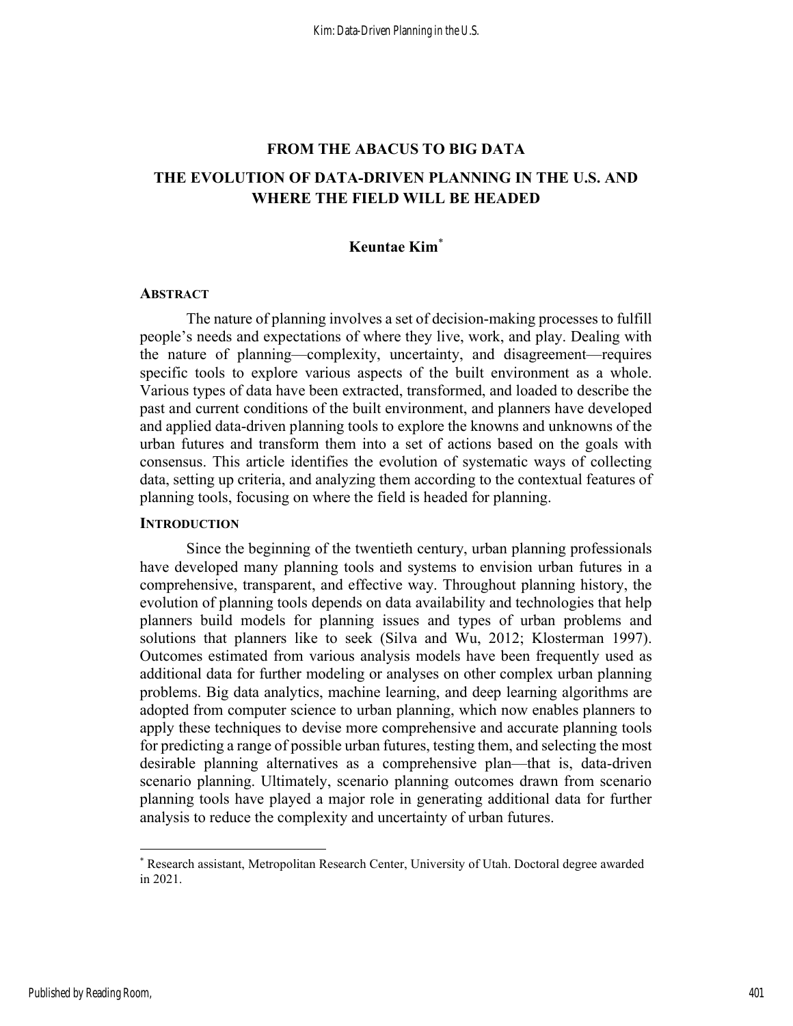# FROM THE ABACUS TO BIG DATA THE EVOLUTION OF DATA-DRIVEN PLANNING IN THE U.S. AND WHERE THE FIELD WILL BE HEADED

#### Keuntae Kim\*

#### **ABSTRACT**

The nature of planning involves a set of decision-making processes to fulfill people's needs and expectations of where they live, work, and play. Dealing with the nature of planning—complexity, uncertainty, and disagreement—requires specific tools to explore various aspects of the built environment as a whole. Various types of data have been extracted, transformed, and loaded to describe the past and current conditions of the built environment, and planners have developed and applied data-driven planning tools to explore the knowns and unknowns of the urban futures and transform them into a set of actions based on the goals with consensus. This article identifies the evolution of systematic ways of collecting data, setting up criteria, and analyzing them according to the contextual features of planning tools, focusing on where the field is headed for planning.

#### **INTRODUCTION**

Since the beginning of the twentieth century, urban planning professionals have developed many planning tools and systems to envision urban futures in a comprehensive, transparent, and effective way. Throughout planning history, the evolution of planning tools depends on data availability and technologies that help planners build models for planning issues and types of urban problems and solutions that planners like to seek (Silva and Wu, 2012; Klosterman 1997). Outcomes estimated from various analysis models have been frequently used as additional data for further modeling or analyses on other complex urban planning problems. Big data analytics, machine learning, and deep learning algorithms are adopted from computer science to urban planning, which now enables planners to apply these techniques to devise more comprehensive and accurate planning tools for predicting a range of possible urban futures, testing them, and selecting the most desirable planning alternatives as a comprehensive plan—that is, data-driven scenario planning. Ultimately, scenario planning outcomes drawn from scenario planning tools have played a major role in generating additional data for further analysis to reduce the complexity and uncertainty of urban futures.

<sup>\*</sup> Research assistant, Metropolitan Research Center, University of Utah. Doctoral degree awarded in 2021.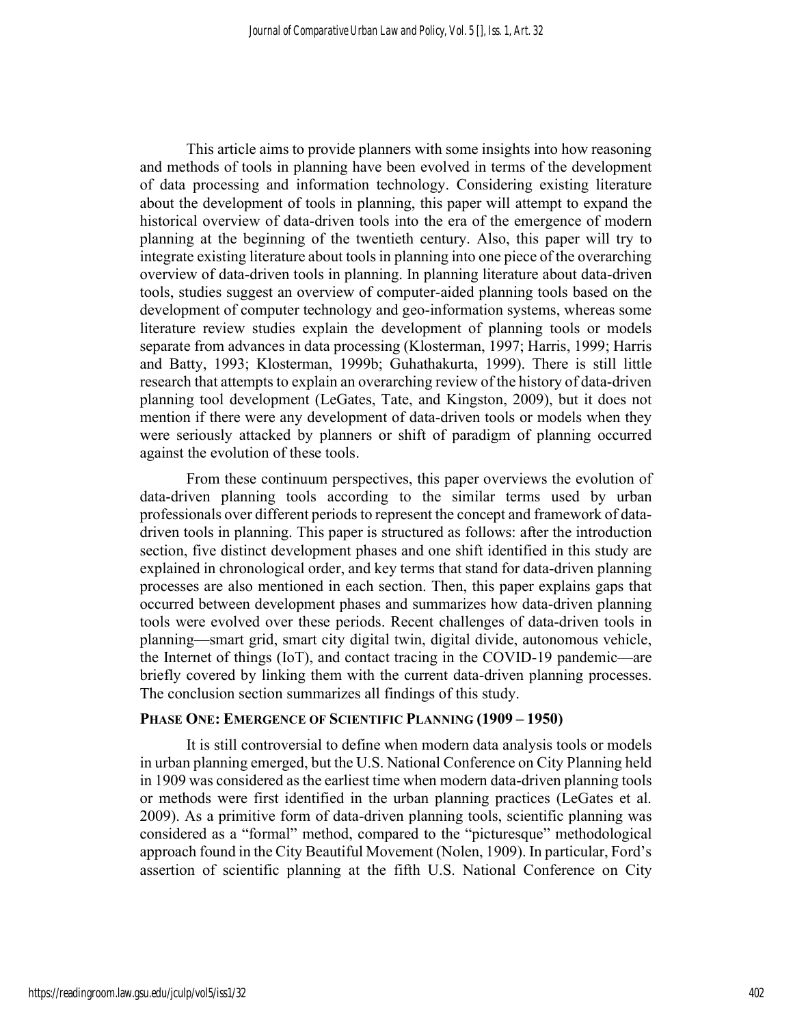This article aims to provide planners with some insights into how reasoning and methods of tools in planning have been evolved in terms of the development of data processing and information technology. Considering existing literature about the development of tools in planning, this paper will attempt to expand the historical overview of data-driven tools into the era of the emergence of modern planning at the beginning of the twentieth century. Also, this paper will try to integrate existing literature about tools in planning into one piece of the overarching overview of data-driven tools in planning. In planning literature about data-driven tools, studies suggest an overview of computer-aided planning tools based on the development of computer technology and geo-information systems, whereas some literature review studies explain the development of planning tools or models separate from advances in data processing (Klosterman, 1997; Harris, 1999; Harris and Batty, 1993; Klosterman, 1999b; Guhathakurta, 1999). There is still little research that attempts to explain an overarching review of the history of data-driven planning tool development (LeGates, Tate, and Kingston, 2009), but it does not mention if there were any development of data-driven tools or models when they were seriously attacked by planners or shift of paradigm of planning occurred against the evolution of these tools.

From these continuum perspectives, this paper overviews the evolution of data-driven planning tools according to the similar terms used by urban professionals over different periods to represent the concept and framework of datadriven tools in planning. This paper is structured as follows: after the introduction section, five distinct development phases and one shift identified in this study are explained in chronological order, and key terms that stand for data-driven planning processes are also mentioned in each section. Then, this paper explains gaps that occurred between development phases and summarizes how data-driven planning tools were evolved over these periods. Recent challenges of data-driven tools in planning—smart grid, smart city digital twin, digital divide, autonomous vehicle, the Internet of things (IoT), and contact tracing in the COVID-19 pandemic—are briefly covered by linking them with the current data-driven planning processes. The conclusion section summarizes all findings of this study.

#### PHASE ONE: EMERGENCE OF SCIENTIFIC PLANNING (1909 - 1950)

It is still controversial to define when modern data analysis tools or models in urban planning emerged, but the U.S. National Conference on City Planning held in 1909 was considered as the earliest time when modern data-driven planning tools or methods were first identified in the urban planning practices (LeGates et al. 2009). As a primitive form of data-driven planning tools, scientific planning was considered as a "formal" method, compared to the "picturesque" methodological approach found in the City Beautiful Movement (Nolen, 1909). In particular, Ford's assertion of scientific planning at the fifth U.S. National Conference on City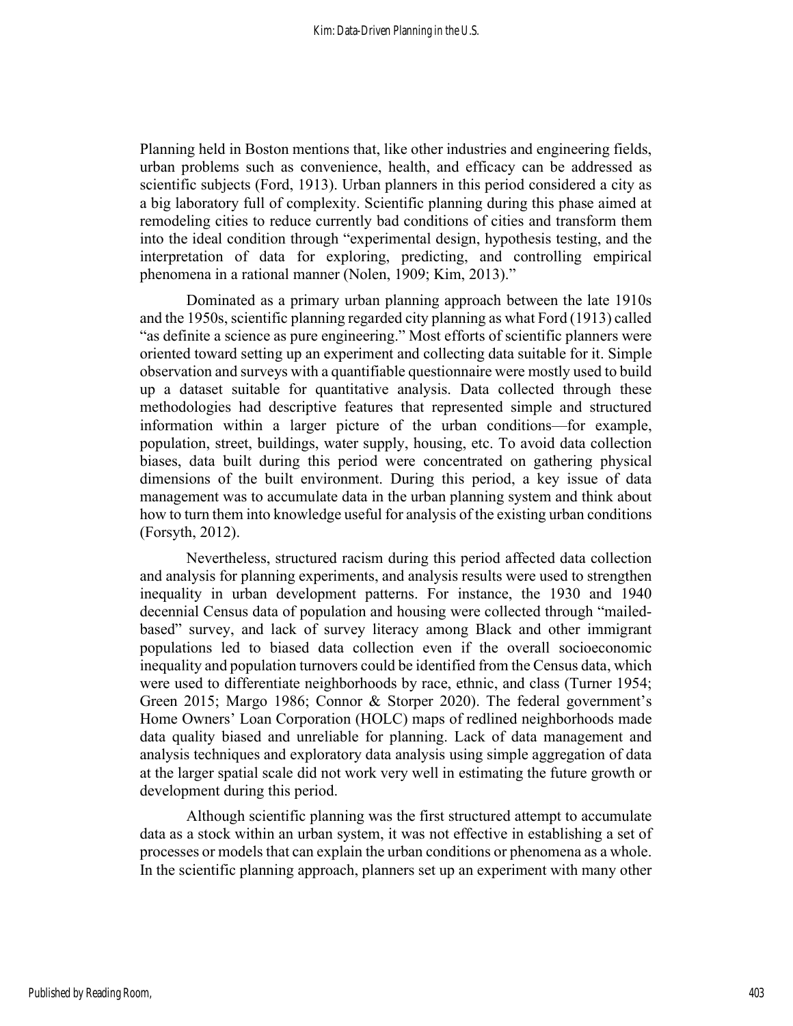Planning held in Boston mentions that, like other industries and engineering fields, urban problems such as convenience, health, and efficacy can be addressed as scientific subjects (Ford, 1913). Urban planners in this period considered a city as a big laboratory full of complexity. Scientific planning during this phase aimed at remodeling cities to reduce currently bad conditions of cities and transform them into the ideal condition through "experimental design, hypothesis testing, and the interpretation of data for exploring, predicting, and controlling empirical phenomena in a rational manner (Nolen, 1909; Kim, 2013)."

Dominated as a primary urban planning approach between the late 1910s and the 1950s, scientific planning regarded city planning as what Ford (1913) called "as definite a science as pure engineering." Most efforts of scientific planners were oriented toward setting up an experiment and collecting data suitable for it. Simple observation and surveys with a quantifiable questionnaire were mostly used to build up a dataset suitable for quantitative analysis. Data collected through these methodologies had descriptive features that represented simple and structured information within a larger picture of the urban conditions—for example, population, street, buildings, water supply, housing, etc. To avoid data collection biases, data built during this period were concentrated on gathering physical dimensions of the built environment. During this period, a key issue of data management was to accumulate data in the urban planning system and think about how to turn them into knowledge useful for analysis of the existing urban conditions (Forsyth, 2012).

Nevertheless, structured racism during this period affected data collection and analysis for planning experiments, and analysis results were used to strengthen inequality in urban development patterns. For instance, the 1930 and 1940 decennial Census data of population and housing were collected through "mailedbased" survey, and lack of survey literacy among Black and other immigrant populations led to biased data collection even if the overall socioeconomic inequality and population turnovers could be identified from the Census data, which were used to differentiate neighborhoods by race, ethnic, and class (Turner 1954; Green 2015; Margo 1986; Connor & Storper 2020). The federal government's Home Owners' Loan Corporation (HOLC) maps of redlined neighborhoods made data quality biased and unreliable for planning. Lack of data management and analysis techniques and exploratory data analysis using simple aggregation of data at the larger spatial scale did not work very well in estimating the future growth or development during this period.

Although scientific planning was the first structured attempt to accumulate data as a stock within an urban system, it was not effective in establishing a set of processes or models that can explain the urban conditions or phenomena as a whole. In the scientific planning approach, planners set up an experiment with many other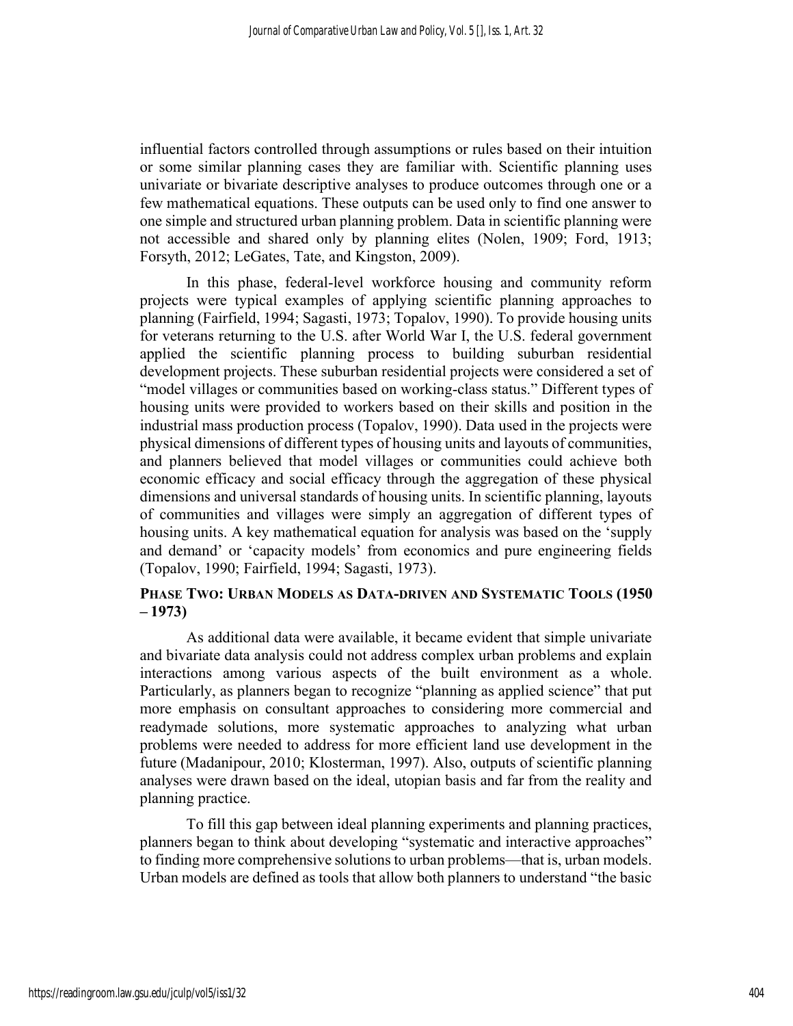influential factors controlled through assumptions or rules based on their intuition or some similar planning cases they are familiar with. Scientific planning uses univariate or bivariate descriptive analyses to produce outcomes through one or a few mathematical equations. These outputs can be used only to find one answer to one simple and structured urban planning problem. Data in scientific planning were not accessible and shared only by planning elites (Nolen, 1909; Ford, 1913; Forsyth, 2012; LeGates, Tate, and Kingston, 2009).

In this phase, federal-level workforce housing and community reform projects were typical examples of applying scientific planning approaches to planning (Fairfield, 1994; Sagasti, 1973; Topalov, 1990). To provide housing units for veterans returning to the U.S. after World War I, the U.S. federal government applied the scientific planning process to building suburban residential development projects. These suburban residential projects were considered a set of "model villages or communities based on working-class status." Different types of housing units were provided to workers based on their skills and position in the industrial mass production process (Topalov, 1990). Data used in the projects were physical dimensions of different types of housing units and layouts of communities, and planners believed that model villages or communities could achieve both economic efficacy and social efficacy through the aggregation of these physical dimensions and universal standards of housing units. In scientific planning, layouts of communities and villages were simply an aggregation of different types of housing units. A key mathematical equation for analysis was based on the 'supply and demand' or 'capacity models' from economics and pure engineering fields (Topalov, 1990; Fairfield, 1994; Sagasti, 1973).

#### PHASE TWO: URBAN MODELS AS DATA-DRIVEN AND SYSTEMATIC TOOLS (1950 – 1973)

As additional data were available, it became evident that simple univariate and bivariate data analysis could not address complex urban problems and explain interactions among various aspects of the built environment as a whole. Particularly, as planners began to recognize "planning as applied science" that put more emphasis on consultant approaches to considering more commercial and readymade solutions, more systematic approaches to analyzing what urban problems were needed to address for more efficient land use development in the future (Madanipour, 2010; Klosterman, 1997). Also, outputs of scientific planning analyses were drawn based on the ideal, utopian basis and far from the reality and planning practice.

To fill this gap between ideal planning experiments and planning practices, planners began to think about developing "systematic and interactive approaches" to finding more comprehensive solutions to urban problems—that is, urban models. Urban models are defined as tools that allow both planners to understand "the basic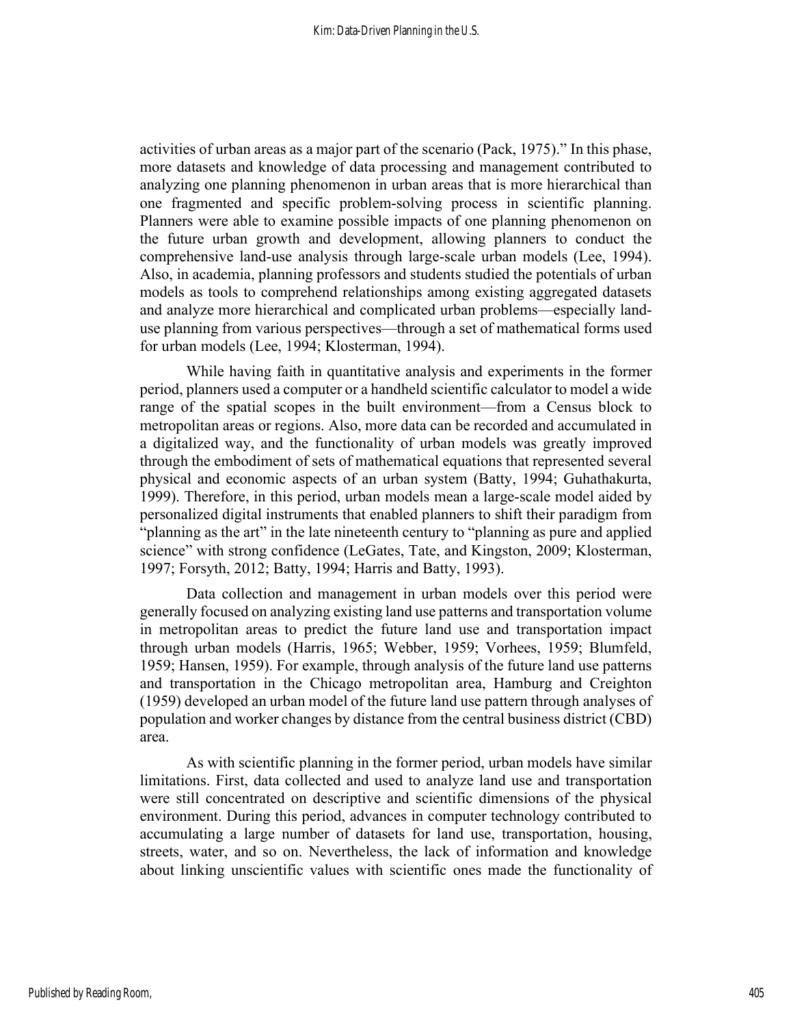activities of urban areas as a major part of the scenario (Pack, 1975)." In this phase, more datasets and knowledge of data processing and management contributed to analyzing one planning phenomenon in urban areas that is more hierarchical than one fragmented and specific problem-solving process in scientific planning. Planners were able to examine possible impacts of one planning phenomenon on the future urban growth and development, allowing planners to conduct the comprehensive land-use analysis through large-scale urban models (Lee, 1994). Also, in academia, planning professors and students studied the potentials of urban models as tools to comprehend relationships among existing aggregated datasets and analyze more hierarchical and complicated urban problems—especially landuse planning from various perspectives—through a set of mathematical forms used for urban models (Lee, 1994; Klosterman, 1994).

While having faith in quantitative analysis and experiments in the former period, planners used a computer or a handheld scientific calculator to model a wide range of the spatial scopes in the built environment—from a Census block to metropolitan areas or regions. Also, more data can be recorded and accumulated in a digitalized way, and the functionality of urban models was greatly improved through the embodiment of sets of mathematical equations that represented several physical and economic aspects of an urban system (Batty, 1994; Guhathakurta, 1999). Therefore, in this period, urban models mean a large-scale model aided by personalized digital instruments that enabled planners to shift their paradigm from "planning as the art" in the late nineteenth century to "planning as pure and applied science" with strong confidence (LeGates, Tate, and Kingston, 2009; Klosterman, 1997; Forsyth, 2012; Batty, 1994; Harris and Batty, 1993).

Data collection and management in urban models over this period were generally focused on analyzing existing land use patterns and transportation volume in metropolitan areas to predict the future land use and transportation impact through urban models (Harris, 1965; Webber, 1959; Vorhees, 1959; Blumfeld, 1959; Hansen, 1959). For example, through analysis of the future land use patterns and transportation in the Chicago metropolitan area, Hamburg and Creighton (1959) developed an urban model of the future land use pattern through analyses of population and worker changes by distance from the central business district (CBD) area.

As with scientific planning in the former period, urban models have similar limitations. First, data collected and used to analyze land use and transportation were still concentrated on descriptive and scientific dimensions of the physical environment. During this period, advances in computer technology contributed to accumulating a large number of datasets for land use, transportation, housing, streets, water, and so on. Nevertheless, the lack of information and knowledge about linking unscientific values with scientific ones made the functionality of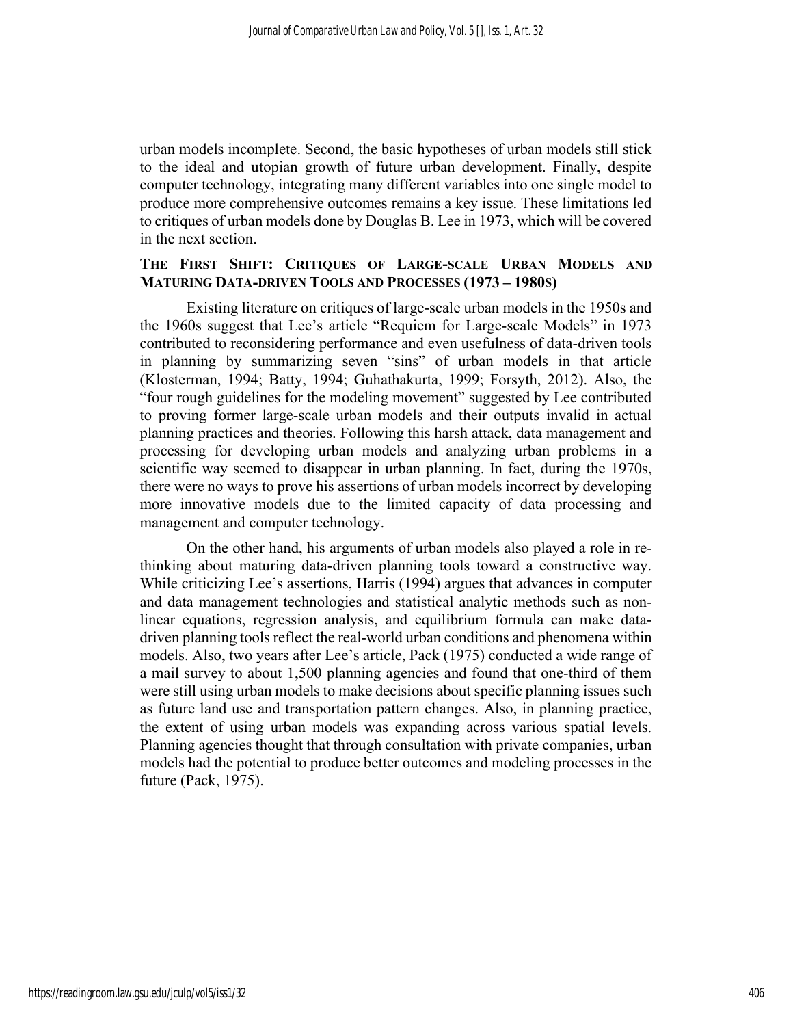urban models incomplete. Second, the basic hypotheses of urban models still stick to the ideal and utopian growth of future urban development. Finally, despite computer technology, integrating many different variables into one single model to produce more comprehensive outcomes remains a key issue. These limitations led to critiques of urban models done by Douglas B. Lee in 1973, which will be covered in the next section.

#### THE FIRST SHIFT: CRITIQUES OF LARGE-SCALE URBAN MODELS AND MATURING DATA-DRIVEN TOOLS AND PROCESSES (1973 – 1980S)

Existing literature on critiques of large-scale urban models in the 1950s and the 1960s suggest that Lee's article "Requiem for Large-scale Models" in 1973 contributed to reconsidering performance and even usefulness of data-driven tools in planning by summarizing seven "sins" of urban models in that article (Klosterman, 1994; Batty, 1994; Guhathakurta, 1999; Forsyth, 2012). Also, the "four rough guidelines for the modeling movement" suggested by Lee contributed to proving former large-scale urban models and their outputs invalid in actual planning practices and theories. Following this harsh attack, data management and processing for developing urban models and analyzing urban problems in a scientific way seemed to disappear in urban planning. In fact, during the 1970s, there were no ways to prove his assertions of urban models incorrect by developing more innovative models due to the limited capacity of data processing and management and computer technology.

On the other hand, his arguments of urban models also played a role in rethinking about maturing data-driven planning tools toward a constructive way. While criticizing Lee's assertions, Harris (1994) argues that advances in computer and data management technologies and statistical analytic methods such as nonlinear equations, regression analysis, and equilibrium formula can make datadriven planning tools reflect the real-world urban conditions and phenomena within models. Also, two years after Lee's article, Pack (1975) conducted a wide range of a mail survey to about 1,500 planning agencies and found that one-third of them were still using urban models to make decisions about specific planning issues such as future land use and transportation pattern changes. Also, in planning practice, the extent of using urban models was expanding across various spatial levels. Planning agencies thought that through consultation with private companies, urban models had the potential to produce better outcomes and modeling processes in the future (Pack, 1975).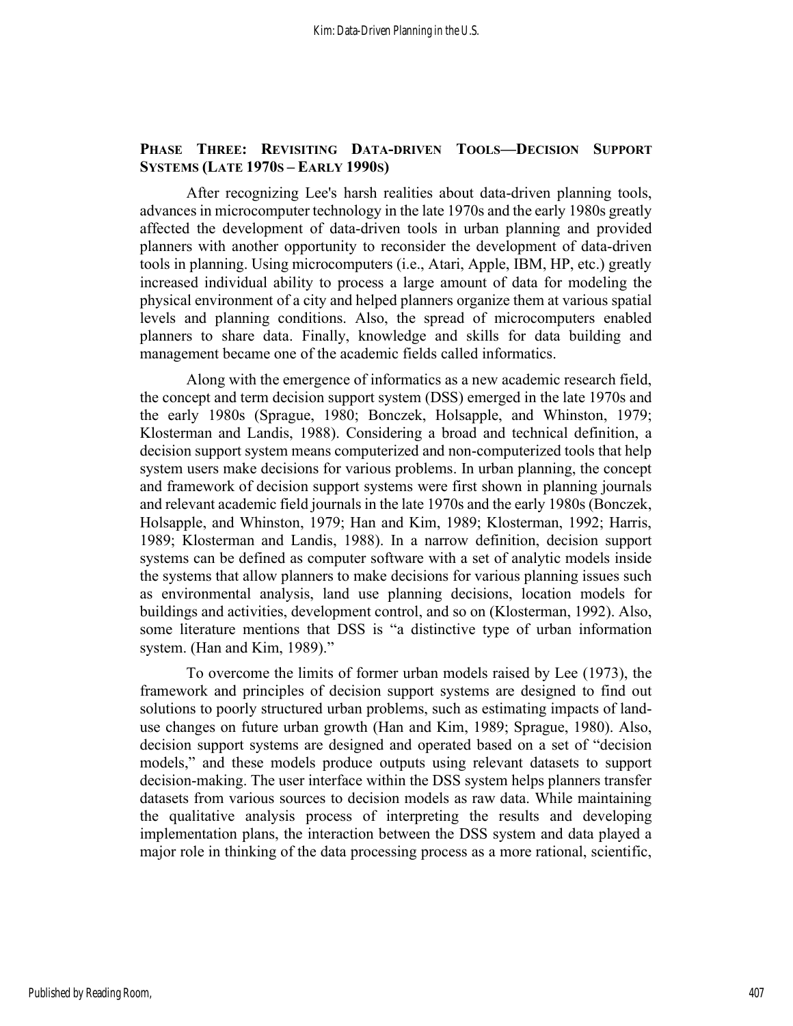#### PHASE THREE: REVISITING DATA-DRIVEN TOOLS—DECISION SUPPORT SYSTEMS (LATE 1970S – EARLY 1990S)

After recognizing Lee's harsh realities about data-driven planning tools, advances in microcomputer technology in the late 1970s and the early 1980s greatly affected the development of data-driven tools in urban planning and provided planners with another opportunity to reconsider the development of data-driven tools in planning. Using microcomputers (i.e., Atari, Apple, IBM, HP, etc.) greatly increased individual ability to process a large amount of data for modeling the physical environment of a city and helped planners organize them at various spatial levels and planning conditions. Also, the spread of microcomputers enabled planners to share data. Finally, knowledge and skills for data building and management became one of the academic fields called informatics.

Along with the emergence of informatics as a new academic research field, the concept and term decision support system (DSS) emerged in the late 1970s and the early 1980s (Sprague, 1980; Bonczek, Holsapple, and Whinston, 1979; Klosterman and Landis, 1988). Considering a broad and technical definition, a decision support system means computerized and non-computerized tools that help system users make decisions for various problems. In urban planning, the concept and framework of decision support systems were first shown in planning journals and relevant academic field journals in the late 1970s and the early 1980s (Bonczek, Holsapple, and Whinston, 1979; Han and Kim, 1989; Klosterman, 1992; Harris, 1989; Klosterman and Landis, 1988). In a narrow definition, decision support systems can be defined as computer software with a set of analytic models inside the systems that allow planners to make decisions for various planning issues such as environmental analysis, land use planning decisions, location models for buildings and activities, development control, and so on (Klosterman, 1992). Also, some literature mentions that DSS is "a distinctive type of urban information system. (Han and Kim, 1989)."

To overcome the limits of former urban models raised by Lee (1973), the framework and principles of decision support systems are designed to find out solutions to poorly structured urban problems, such as estimating impacts of landuse changes on future urban growth (Han and Kim, 1989; Sprague, 1980). Also, decision support systems are designed and operated based on a set of "decision models," and these models produce outputs using relevant datasets to support decision-making. The user interface within the DSS system helps planners transfer datasets from various sources to decision models as raw data. While maintaining the qualitative analysis process of interpreting the results and developing implementation plans, the interaction between the DSS system and data played a major role in thinking of the data processing process as a more rational, scientific,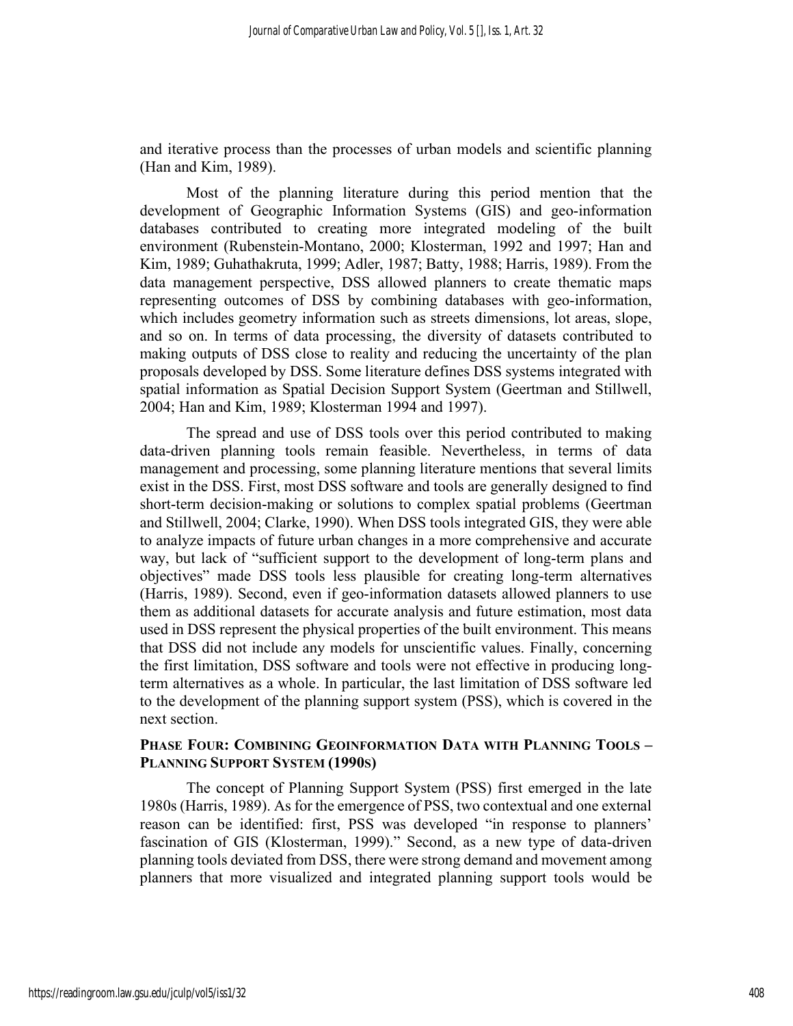and iterative process than the processes of urban models and scientific planning (Han and Kim, 1989).

Most of the planning literature during this period mention that the development of Geographic Information Systems (GIS) and geo-information databases contributed to creating more integrated modeling of the built environment (Rubenstein-Montano, 2000; Klosterman, 1992 and 1997; Han and Kim, 1989; Guhathakruta, 1999; Adler, 1987; Batty, 1988; Harris, 1989). From the data management perspective, DSS allowed planners to create thematic maps representing outcomes of DSS by combining databases with geo-information, which includes geometry information such as streets dimensions, lot areas, slope, and so on. In terms of data processing, the diversity of datasets contributed to making outputs of DSS close to reality and reducing the uncertainty of the plan proposals developed by DSS. Some literature defines DSS systems integrated with spatial information as Spatial Decision Support System (Geertman and Stillwell, 2004; Han and Kim, 1989; Klosterman 1994 and 1997).

The spread and use of DSS tools over this period contributed to making data-driven planning tools remain feasible. Nevertheless, in terms of data management and processing, some planning literature mentions that several limits exist in the DSS. First, most DSS software and tools are generally designed to find short-term decision-making or solutions to complex spatial problems (Geertman and Stillwell, 2004; Clarke, 1990). When DSS tools integrated GIS, they were able to analyze impacts of future urban changes in a more comprehensive and accurate way, but lack of "sufficient support to the development of long-term plans and objectives" made DSS tools less plausible for creating long-term alternatives (Harris, 1989). Second, even if geo-information datasets allowed planners to use them as additional datasets for accurate analysis and future estimation, most data used in DSS represent the physical properties of the built environment. This means that DSS did not include any models for unscientific values. Finally, concerning the first limitation, DSS software and tools were not effective in producing longterm alternatives as a whole. In particular, the last limitation of DSS software led to the development of the planning support system (PSS), which is covered in the next section.

#### PHASE FOUR: COMBINING GEOINFORMATION DATA WITH PLANNING TOOLS – PLANNING SUPPORT SYSTEM (1990S)

The concept of Planning Support System (PSS) first emerged in the late 1980s (Harris, 1989). As for the emergence of PSS, two contextual and one external reason can be identified: first, PSS was developed "in response to planners' fascination of GIS (Klosterman, 1999)." Second, as a new type of data-driven planning tools deviated from DSS, there were strong demand and movement among planners that more visualized and integrated planning support tools would be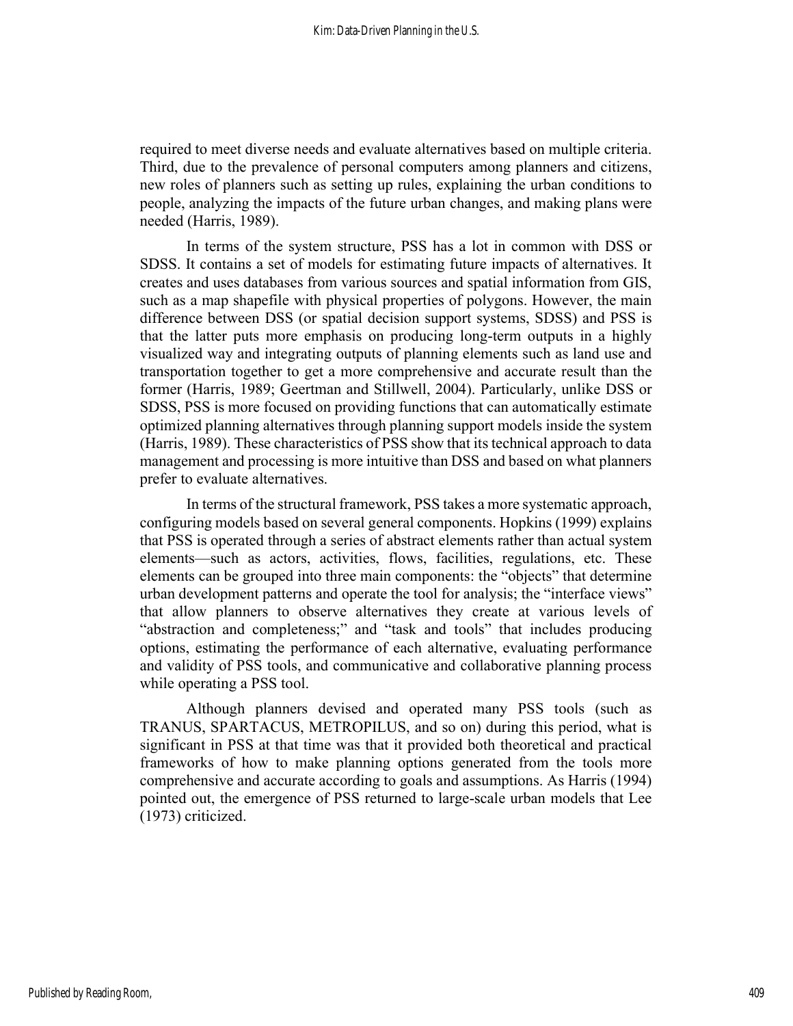required to meet diverse needs and evaluate alternatives based on multiple criteria. Third, due to the prevalence of personal computers among planners and citizens, new roles of planners such as setting up rules, explaining the urban conditions to people, analyzing the impacts of the future urban changes, and making plans were needed (Harris, 1989).

In terms of the system structure, PSS has a lot in common with DSS or SDSS. It contains a set of models for estimating future impacts of alternatives. It creates and uses databases from various sources and spatial information from GIS, such as a map shapefile with physical properties of polygons. However, the main difference between DSS (or spatial decision support systems, SDSS) and PSS is that the latter puts more emphasis on producing long-term outputs in a highly visualized way and integrating outputs of planning elements such as land use and transportation together to get a more comprehensive and accurate result than the former (Harris, 1989; Geertman and Stillwell, 2004). Particularly, unlike DSS or SDSS, PSS is more focused on providing functions that can automatically estimate optimized planning alternatives through planning support models inside the system (Harris, 1989). These characteristics of PSS show that its technical approach to data management and processing is more intuitive than DSS and based on what planners prefer to evaluate alternatives.

In terms of the structural framework, PSS takes a more systematic approach, configuring models based on several general components. Hopkins (1999) explains that PSS is operated through a series of abstract elements rather than actual system elements—such as actors, activities, flows, facilities, regulations, etc. These elements can be grouped into three main components: the "objects" that determine urban development patterns and operate the tool for analysis; the "interface views" that allow planners to observe alternatives they create at various levels of "abstraction and completeness;" and "task and tools" that includes producing options, estimating the performance of each alternative, evaluating performance and validity of PSS tools, and communicative and collaborative planning process while operating a PSS tool.

Although planners devised and operated many PSS tools (such as TRANUS, SPARTACUS, METROPILUS, and so on) during this period, what is significant in PSS at that time was that it provided both theoretical and practical frameworks of how to make planning options generated from the tools more comprehensive and accurate according to goals and assumptions. As Harris (1994) pointed out, the emergence of PSS returned to large-scale urban models that Lee (1973) criticized.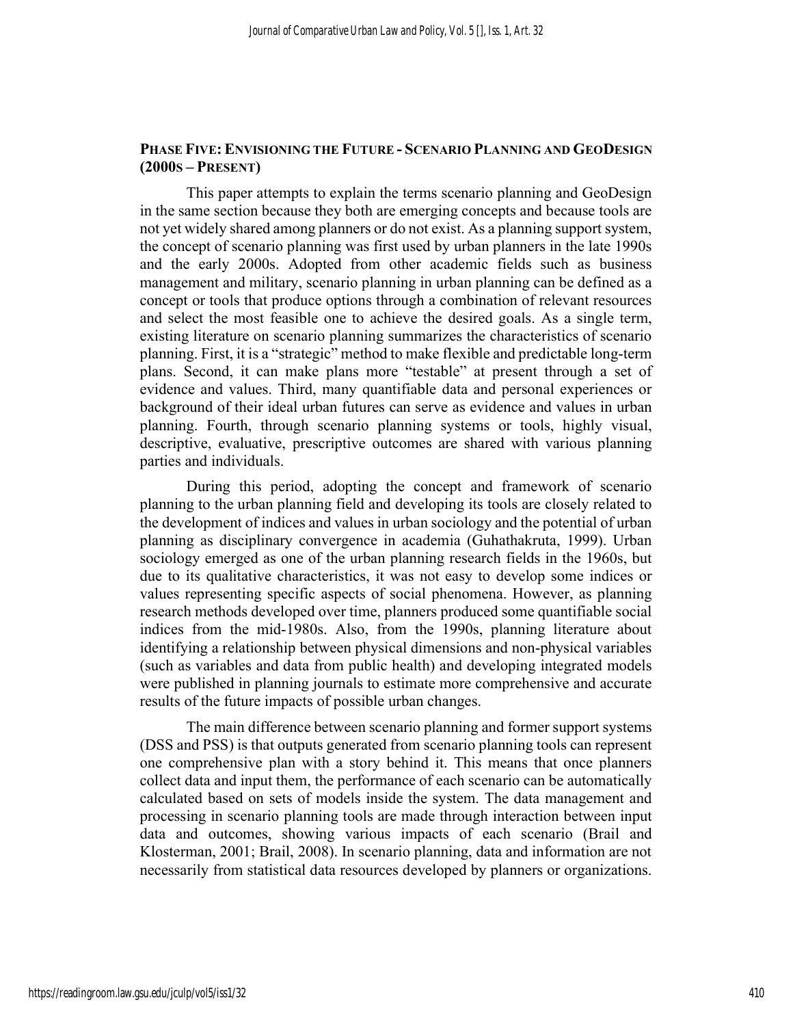#### PHASE FIVE: ENVISIONING THE FUTURE - SCENARIO PLANNING AND GEODESIGN (2000S – PRESENT)

This paper attempts to explain the terms scenario planning and GeoDesign in the same section because they both are emerging concepts and because tools are not yet widely shared among planners or do not exist. As a planning support system, the concept of scenario planning was first used by urban planners in the late 1990s and the early 2000s. Adopted from other academic fields such as business management and military, scenario planning in urban planning can be defined as a concept or tools that produce options through a combination of relevant resources and select the most feasible one to achieve the desired goals. As a single term, existing literature on scenario planning summarizes the characteristics of scenario planning. First, it is a "strategic" method to make flexible and predictable long-term plans. Second, it can make plans more "testable" at present through a set of evidence and values. Third, many quantifiable data and personal experiences or background of their ideal urban futures can serve as evidence and values in urban planning. Fourth, through scenario planning systems or tools, highly visual, descriptive, evaluative, prescriptive outcomes are shared with various planning parties and individuals.

During this period, adopting the concept and framework of scenario planning to the urban planning field and developing its tools are closely related to the development of indices and values in urban sociology and the potential of urban planning as disciplinary convergence in academia (Guhathakruta, 1999). Urban sociology emerged as one of the urban planning research fields in the 1960s, but due to its qualitative characteristics, it was not easy to develop some indices or values representing specific aspects of social phenomena. However, as planning research methods developed over time, planners produced some quantifiable social indices from the mid-1980s. Also, from the 1990s, planning literature about identifying a relationship between physical dimensions and non-physical variables (such as variables and data from public health) and developing integrated models were published in planning journals to estimate more comprehensive and accurate results of the future impacts of possible urban changes.

The main difference between scenario planning and former support systems (DSS and PSS) is that outputs generated from scenario planning tools can represent one comprehensive plan with a story behind it. This means that once planners collect data and input them, the performance of each scenario can be automatically calculated based on sets of models inside the system. The data management and processing in scenario planning tools are made through interaction between input data and outcomes, showing various impacts of each scenario (Brail and Klosterman, 2001; Brail, 2008). In scenario planning, data and information are not necessarily from statistical data resources developed by planners or organizations.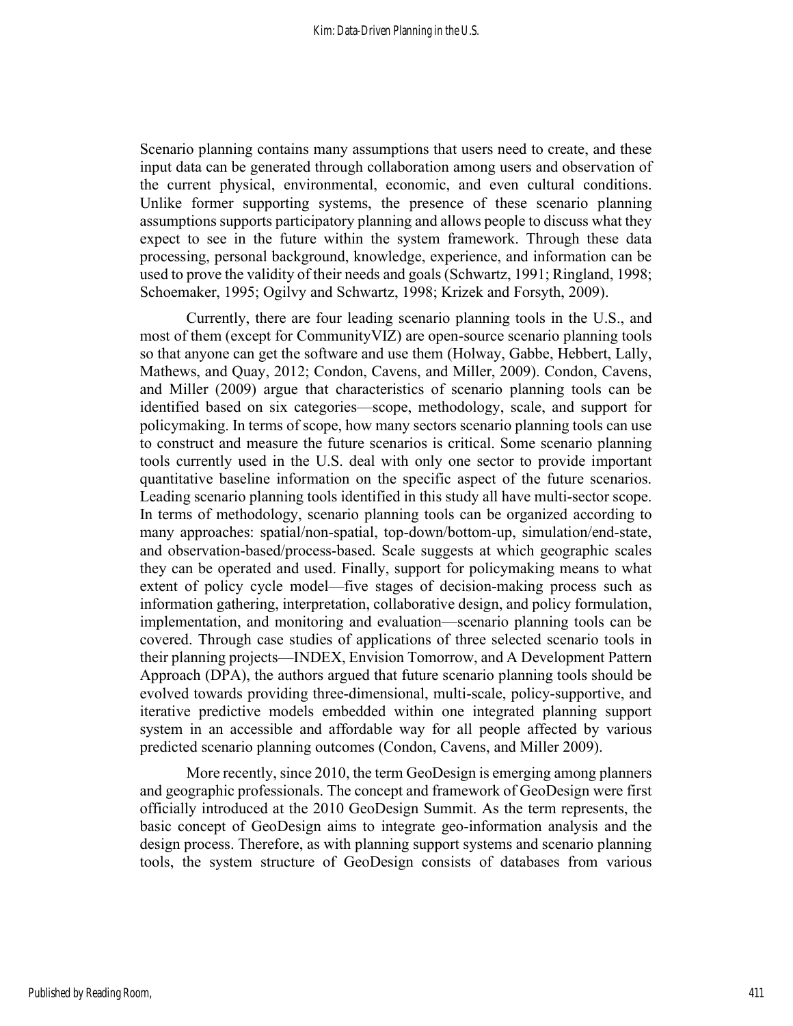Scenario planning contains many assumptions that users need to create, and these input data can be generated through collaboration among users and observation of the current physical, environmental, economic, and even cultural conditions. Unlike former supporting systems, the presence of these scenario planning assumptions supports participatory planning and allows people to discuss what they expect to see in the future within the system framework. Through these data processing, personal background, knowledge, experience, and information can be used to prove the validity of their needs and goals (Schwartz, 1991; Ringland, 1998; Schoemaker, 1995; Ogilvy and Schwartz, 1998; Krizek and Forsyth, 2009).

Currently, there are four leading scenario planning tools in the U.S., and most of them (except for CommunityVIZ) are open-source scenario planning tools so that anyone can get the software and use them (Holway, Gabbe, Hebbert, Lally, Mathews, and Quay, 2012; Condon, Cavens, and Miller, 2009). Condon, Cavens, and Miller (2009) argue that characteristics of scenario planning tools can be identified based on six categories—scope, methodology, scale, and support for policymaking. In terms of scope, how many sectors scenario planning tools can use to construct and measure the future scenarios is critical. Some scenario planning tools currently used in the U.S. deal with only one sector to provide important quantitative baseline information on the specific aspect of the future scenarios. Leading scenario planning tools identified in this study all have multi-sector scope. In terms of methodology, scenario planning tools can be organized according to many approaches: spatial/non-spatial, top-down/bottom-up, simulation/end-state, and observation-based/process-based. Scale suggests at which geographic scales they can be operated and used. Finally, support for policymaking means to what extent of policy cycle model—five stages of decision-making process such as information gathering, interpretation, collaborative design, and policy formulation, implementation, and monitoring and evaluation—scenario planning tools can be covered. Through case studies of applications of three selected scenario tools in their planning projects—INDEX, Envision Tomorrow, and A Development Pattern Approach (DPA), the authors argued that future scenario planning tools should be evolved towards providing three-dimensional, multi-scale, policy-supportive, and iterative predictive models embedded within one integrated planning support system in an accessible and affordable way for all people affected by various predicted scenario planning outcomes (Condon, Cavens, and Miller 2009).

More recently, since 2010, the term GeoDesign is emerging among planners and geographic professionals. The concept and framework of GeoDesign were first officially introduced at the 2010 GeoDesign Summit. As the term represents, the basic concept of GeoDesign aims to integrate geo-information analysis and the design process. Therefore, as with planning support systems and scenario planning tools, the system structure of GeoDesign consists of databases from various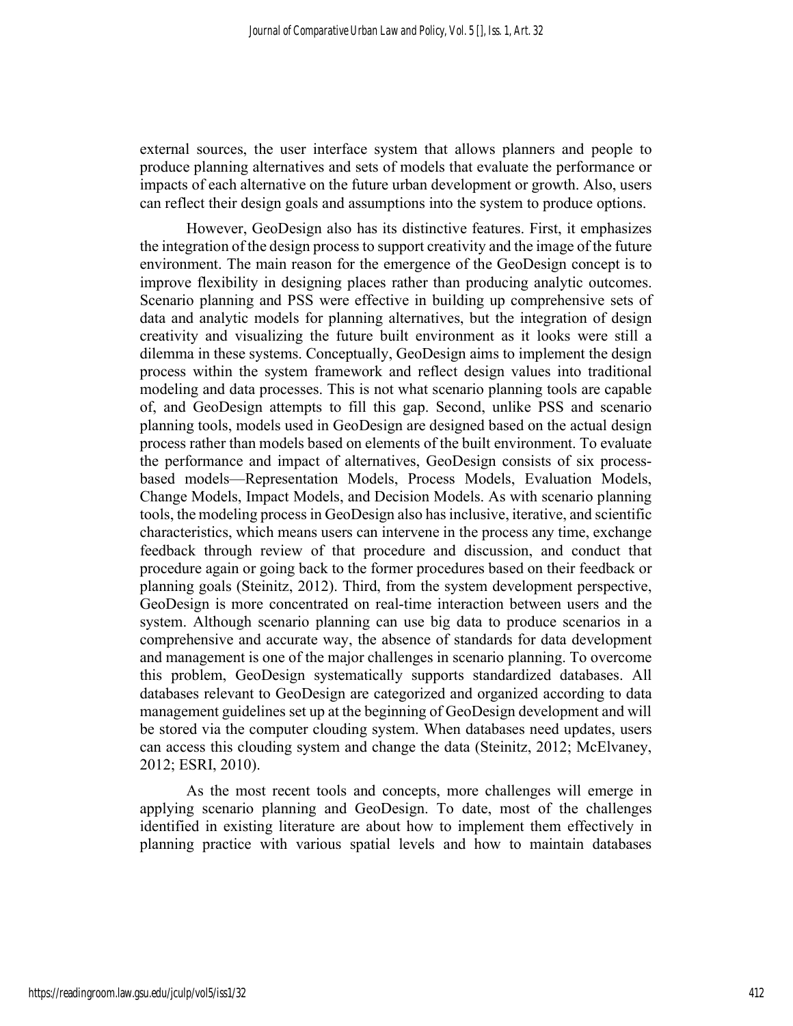external sources, the user interface system that allows planners and people to produce planning alternatives and sets of models that evaluate the performance or impacts of each alternative on the future urban development or growth. Also, users can reflect their design goals and assumptions into the system to produce options.

However, GeoDesign also has its distinctive features. First, it emphasizes the integration of the design process to support creativity and the image of the future environment. The main reason for the emergence of the GeoDesign concept is to improve flexibility in designing places rather than producing analytic outcomes. Scenario planning and PSS were effective in building up comprehensive sets of data and analytic models for planning alternatives, but the integration of design creativity and visualizing the future built environment as it looks were still a dilemma in these systems. Conceptually, GeoDesign aims to implement the design process within the system framework and reflect design values into traditional modeling and data processes. This is not what scenario planning tools are capable of, and GeoDesign attempts to fill this gap. Second, unlike PSS and scenario planning tools, models used in GeoDesign are designed based on the actual design process rather than models based on elements of the built environment. To evaluate the performance and impact of alternatives, GeoDesign consists of six processbased models—Representation Models, Process Models, Evaluation Models, Change Models, Impact Models, and Decision Models. As with scenario planning tools, the modeling process in GeoDesign also has inclusive, iterative, and scientific characteristics, which means users can intervene in the process any time, exchange feedback through review of that procedure and discussion, and conduct that procedure again or going back to the former procedures based on their feedback or planning goals (Steinitz, 2012). Third, from the system development perspective, GeoDesign is more concentrated on real-time interaction between users and the system. Although scenario planning can use big data to produce scenarios in a comprehensive and accurate way, the absence of standards for data development and management is one of the major challenges in scenario planning. To overcome this problem, GeoDesign systematically supports standardized databases. All databases relevant to GeoDesign are categorized and organized according to data management guidelines set up at the beginning of GeoDesign development and will be stored via the computer clouding system. When databases need updates, users can access this clouding system and change the data (Steinitz, 2012; McElvaney, 2012; ESRI, 2010).

As the most recent tools and concepts, more challenges will emerge in applying scenario planning and GeoDesign. To date, most of the challenges identified in existing literature are about how to implement them effectively in planning practice with various spatial levels and how to maintain databases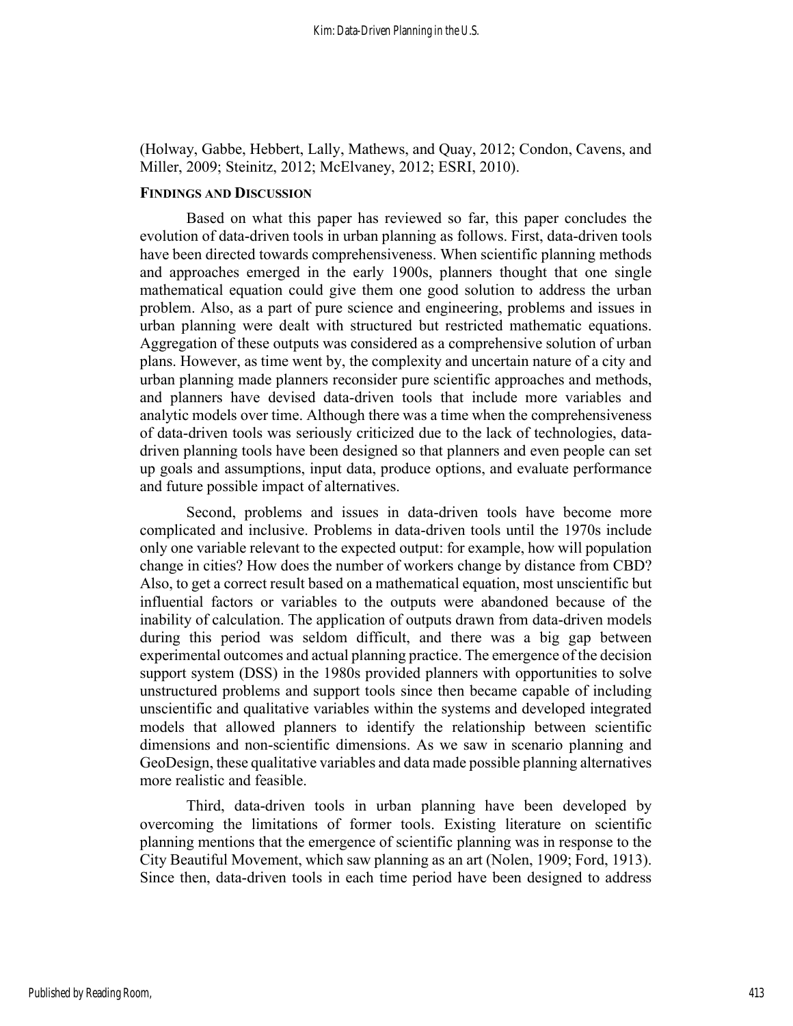(Holway, Gabbe, Hebbert, Lally, Mathews, and Quay, 2012; Condon, Cavens, and Miller, 2009; Steinitz, 2012; McElvaney, 2012; ESRI, 2010).

#### FINDINGS AND DISCUSSION

Based on what this paper has reviewed so far, this paper concludes the evolution of data-driven tools in urban planning as follows. First, data-driven tools have been directed towards comprehensiveness. When scientific planning methods and approaches emerged in the early 1900s, planners thought that one single mathematical equation could give them one good solution to address the urban problem. Also, as a part of pure science and engineering, problems and issues in urban planning were dealt with structured but restricted mathematic equations. Aggregation of these outputs was considered as a comprehensive solution of urban plans. However, as time went by, the complexity and uncertain nature of a city and urban planning made planners reconsider pure scientific approaches and methods, and planners have devised data-driven tools that include more variables and analytic models over time. Although there was a time when the comprehensiveness of data-driven tools was seriously criticized due to the lack of technologies, datadriven planning tools have been designed so that planners and even people can set up goals and assumptions, input data, produce options, and evaluate performance and future possible impact of alternatives.

Second, problems and issues in data-driven tools have become more complicated and inclusive. Problems in data-driven tools until the 1970s include only one variable relevant to the expected output: for example, how will population change in cities? How does the number of workers change by distance from CBD? Also, to get a correct result based on a mathematical equation, most unscientific but influential factors or variables to the outputs were abandoned because of the inability of calculation. The application of outputs drawn from data-driven models during this period was seldom difficult, and there was a big gap between experimental outcomes and actual planning practice. The emergence of the decision support system (DSS) in the 1980s provided planners with opportunities to solve unstructured problems and support tools since then became capable of including unscientific and qualitative variables within the systems and developed integrated models that allowed planners to identify the relationship between scientific dimensions and non-scientific dimensions. As we saw in scenario planning and GeoDesign, these qualitative variables and data made possible planning alternatives more realistic and feasible.

Third, data-driven tools in urban planning have been developed by overcoming the limitations of former tools. Existing literature on scientific planning mentions that the emergence of scientific planning was in response to the City Beautiful Movement, which saw planning as an art (Nolen, 1909; Ford, 1913). Since then, data-driven tools in each time period have been designed to address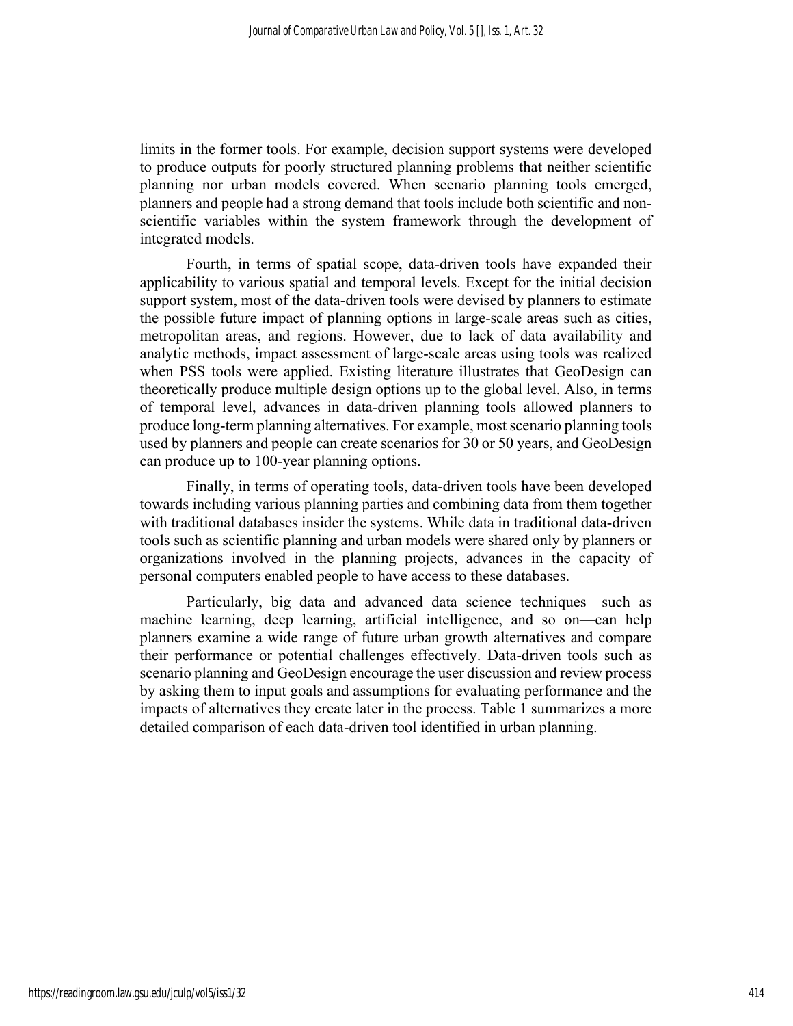limits in the former tools. For example, decision support systems were developed to produce outputs for poorly structured planning problems that neither scientific planning nor urban models covered. When scenario planning tools emerged, planners and people had a strong demand that tools include both scientific and nonscientific variables within the system framework through the development of integrated models.

Fourth, in terms of spatial scope, data-driven tools have expanded their applicability to various spatial and temporal levels. Except for the initial decision support system, most of the data-driven tools were devised by planners to estimate the possible future impact of planning options in large-scale areas such as cities, metropolitan areas, and regions. However, due to lack of data availability and analytic methods, impact assessment of large-scale areas using tools was realized when PSS tools were applied. Existing literature illustrates that GeoDesign can theoretically produce multiple design options up to the global level. Also, in terms of temporal level, advances in data-driven planning tools allowed planners to produce long-term planning alternatives. For example, most scenario planning tools used by planners and people can create scenarios for 30 or 50 years, and GeoDesign can produce up to 100-year planning options.

Finally, in terms of operating tools, data-driven tools have been developed towards including various planning parties and combining data from them together with traditional databases insider the systems. While data in traditional data-driven tools such as scientific planning and urban models were shared only by planners or organizations involved in the planning projects, advances in the capacity of personal computers enabled people to have access to these databases.

Particularly, big data and advanced data science techniques—such as machine learning, deep learning, artificial intelligence, and so on—can help planners examine a wide range of future urban growth alternatives and compare their performance or potential challenges effectively. Data-driven tools such as scenario planning and GeoDesign encourage the user discussion and review process by asking them to input goals and assumptions for evaluating performance and the impacts of alternatives they create later in the process. Table 1 summarizes a more detailed comparison of each data-driven tool identified in urban planning.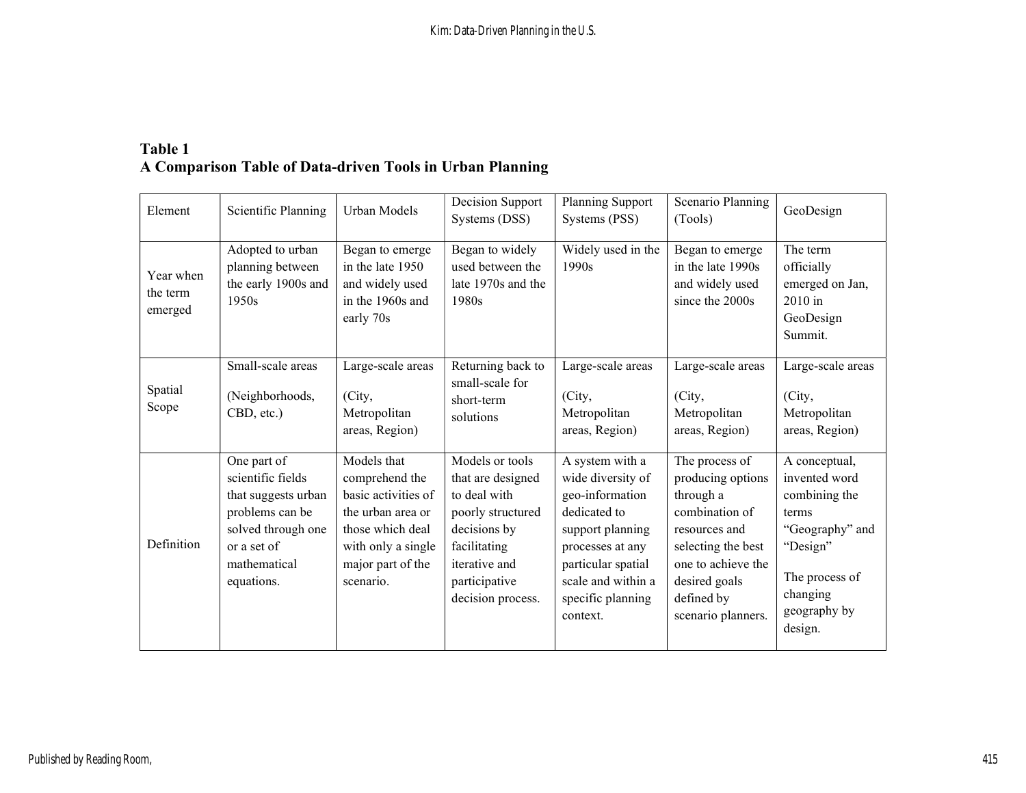# Table 1 A Comparison Table of Data-driven Tools in Urban Planning

| Element                          | Scientific Planning                                                                                                                           | Urban Models                                                                                                                                          | Decision Support<br>Systems (DSS)                                                                                                                                | Planning Support<br>Systems (PSS)                                                                                                                                                            | Scenario Planning<br>(Tools)                                                                                                                                                         | GeoDesign                                                                                                                                        |
|----------------------------------|-----------------------------------------------------------------------------------------------------------------------------------------------|-------------------------------------------------------------------------------------------------------------------------------------------------------|------------------------------------------------------------------------------------------------------------------------------------------------------------------|----------------------------------------------------------------------------------------------------------------------------------------------------------------------------------------------|--------------------------------------------------------------------------------------------------------------------------------------------------------------------------------------|--------------------------------------------------------------------------------------------------------------------------------------------------|
| Year when<br>the term<br>emerged | Adopted to urban<br>planning between<br>the early 1900s and<br>1950s                                                                          | Began to emerge<br>in the late 1950<br>and widely used<br>in the 1960s and<br>early 70s                                                               | Began to widely<br>used between the<br>late 1970s and the<br>1980s                                                                                               | Widely used in the<br>1990s                                                                                                                                                                  | Began to emerge<br>in the late 1990s<br>and widely used<br>since the 2000s                                                                                                           | The term<br>officially<br>emerged on Jan,<br>$2010$ in<br>GeoDesign<br>Summit.                                                                   |
| Spatial<br>Scope                 | Small-scale areas<br>(Neighborhoods,<br>CBD, etc.)                                                                                            | Large-scale areas<br>(City,<br>Metropolitan<br>areas, Region)                                                                                         | Returning back to<br>small-scale for<br>short-term<br>solutions                                                                                                  | Large-scale areas<br>(City,<br>Metropolitan<br>areas, Region)                                                                                                                                | Large-scale areas<br>(City,<br>Metropolitan<br>areas, Region)                                                                                                                        | Large-scale areas<br>(City,<br>Metropolitan<br>areas, Region)                                                                                    |
| Definition                       | One part of<br>scientific fields<br>that suggests urban<br>problems can be<br>solved through one<br>or a set of<br>mathematical<br>equations. | Models that<br>comprehend the<br>basic activities of<br>the urban area or<br>those which deal<br>with only a single<br>major part of the<br>scenario. | Models or tools<br>that are designed<br>to deal with<br>poorly structured<br>decisions by<br>facilitating<br>iterative and<br>participative<br>decision process. | A system with a<br>wide diversity of<br>geo-information<br>dedicated to<br>support planning<br>processes at any<br>particular spatial<br>scale and within a<br>specific planning<br>context. | The process of<br>producing options<br>through a<br>combination of<br>resources and<br>selecting the best<br>one to achieve the<br>desired goals<br>defined by<br>scenario planners. | A conceptual,<br>invented word<br>combining the<br>terms<br>"Geography" and<br>"Design"<br>The process of<br>changing<br>geography by<br>design. |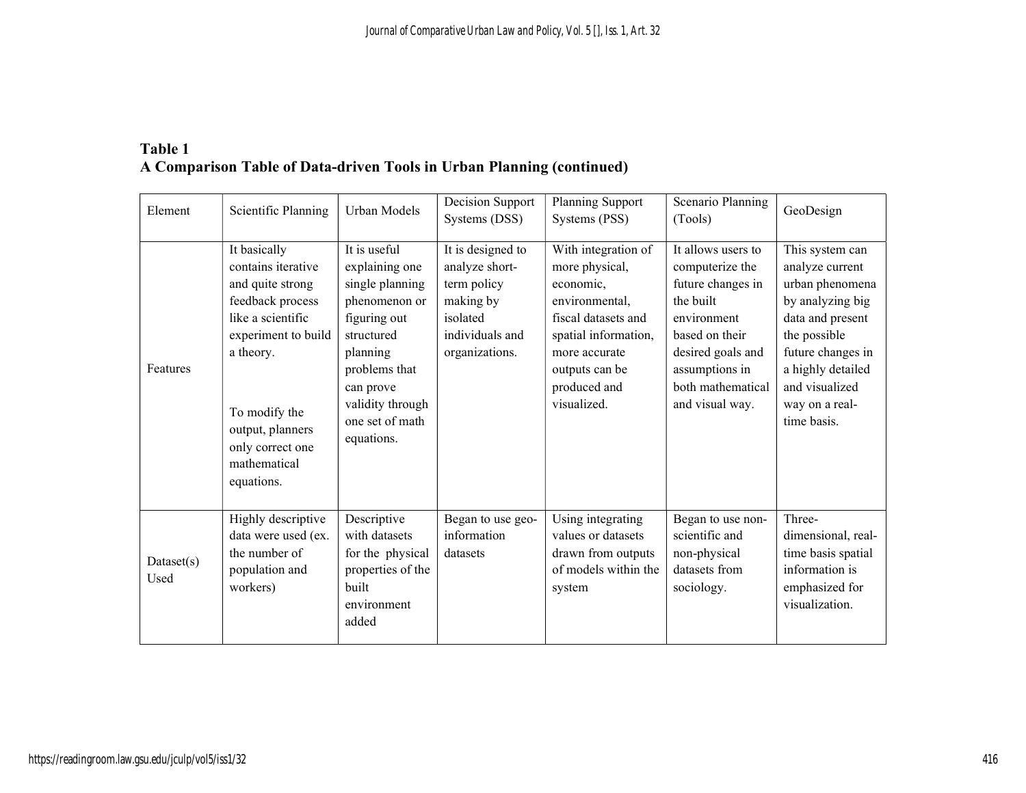# Table 1 A Comparison Table of Data-driven Tools in Urban Planning (continued)

| Element             | Scientific Planning                                                                                                                                                                                                        | Urban Models                                                                                                                                                                                    | Decision Support<br>Systems (DSS)                                                                                | Planning Support<br>Systems (PSS)                                                                                                                                                     | Scenario Planning<br>(Tools)                                                                                                                                                            | GeoDesign                                                                                                                                                                                                  |
|---------------------|----------------------------------------------------------------------------------------------------------------------------------------------------------------------------------------------------------------------------|-------------------------------------------------------------------------------------------------------------------------------------------------------------------------------------------------|------------------------------------------------------------------------------------------------------------------|---------------------------------------------------------------------------------------------------------------------------------------------------------------------------------------|-----------------------------------------------------------------------------------------------------------------------------------------------------------------------------------------|------------------------------------------------------------------------------------------------------------------------------------------------------------------------------------------------------------|
| Features            | It basically<br>contains iterative<br>and quite strong<br>feedback process<br>like a scientific<br>experiment to build<br>a theory.<br>To modify the<br>output, planners<br>only correct one<br>mathematical<br>equations. | It is useful<br>explaining one<br>single planning<br>phenomenon or<br>figuring out<br>structured<br>planning<br>problems that<br>can prove<br>validity through<br>one set of math<br>equations. | It is designed to<br>analyze short-<br>term policy<br>making by<br>isolated<br>individuals and<br>organizations. | With integration of<br>more physical,<br>economic,<br>environmental,<br>fiscal datasets and<br>spatial information,<br>more accurate<br>outputs can be<br>produced and<br>visualized. | It allows users to<br>computerize the<br>future changes in<br>the built<br>environment<br>based on their<br>desired goals and<br>assumptions in<br>both mathematical<br>and visual way. | This system can<br>analyze current<br>urban phenomena<br>by analyzing big<br>data and present<br>the possible<br>future changes in<br>a highly detailed<br>and visualized<br>way on a real-<br>time basis. |
| Datasets(s)<br>Used | Highly descriptive<br>data were used (ex.<br>the number of<br>population and<br>workers)                                                                                                                                   | Descriptive<br>with datasets<br>for the physical<br>properties of the<br>built<br>environment<br>added                                                                                          | Began to use geo-<br>information<br>datasets                                                                     | Using integrating<br>values or datasets<br>drawn from outputs<br>of models within the<br>system                                                                                       | Began to use non-<br>scientific and<br>non-physical<br>datasets from<br>sociology.                                                                                                      | Three-<br>dimensional, real-<br>time basis spatial<br>information is<br>emphasized for<br>visualization.                                                                                                   |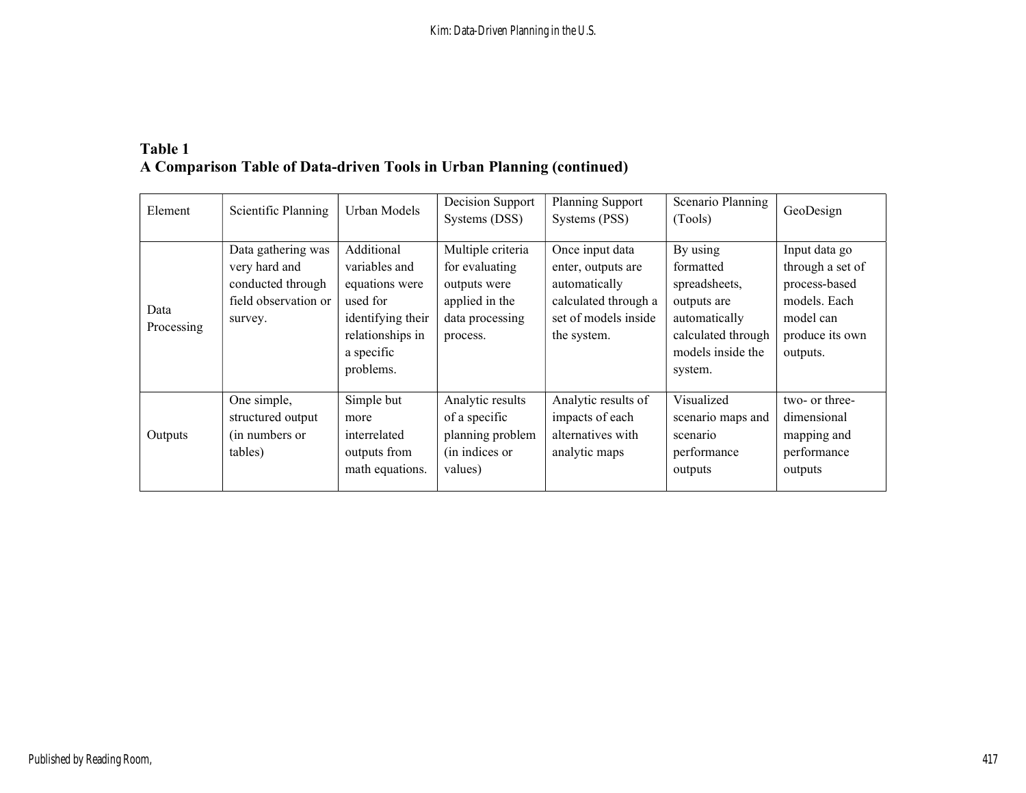# Table 1 A Comparison Table of Data-driven Tools in Urban Planning (continued)

| Element            | Scientific Planning                                                                         | Urban Models                                                                                                                  | Decision Support<br>Systems (DSS)                                                                    | Planning Support<br>Systems (PSS)                                                                                     | Scenario Planning<br>(Tools)                                                                                                 | GeoDesign                                                                                                      |
|--------------------|---------------------------------------------------------------------------------------------|-------------------------------------------------------------------------------------------------------------------------------|------------------------------------------------------------------------------------------------------|-----------------------------------------------------------------------------------------------------------------------|------------------------------------------------------------------------------------------------------------------------------|----------------------------------------------------------------------------------------------------------------|
| Data<br>Processing | Data gathering was<br>very hard and<br>conducted through<br>field observation or<br>survey. | Additional<br>variables and<br>equations were<br>used for<br>identifying their<br>relationships in<br>a specific<br>problems. | Multiple criteria<br>for evaluating<br>outputs were<br>applied in the<br>data processing<br>process. | Once input data<br>enter, outputs are<br>automatically<br>calculated through a<br>set of models inside<br>the system. | By using<br>formatted<br>spreadsheets,<br>outputs are<br>automatically<br>calculated through<br>models inside the<br>system. | Input data go<br>through a set of<br>process-based<br>models. Each<br>model can<br>produce its own<br>outputs. |
| Outputs            | One simple,<br>structured output<br>(in numbers or<br>tables)                               | Simple but<br>more<br>interrelated<br>outputs from<br>math equations.                                                         | Analytic results<br>of a specific<br>planning problem<br>(in indices or<br>values)                   | Analytic results of<br>impacts of each<br>alternatives with<br>analytic maps                                          | Visualized<br>scenario maps and<br>scenario<br>performance<br>outputs                                                        | two- or three-<br>dimensional<br>mapping and<br>performance<br>outputs                                         |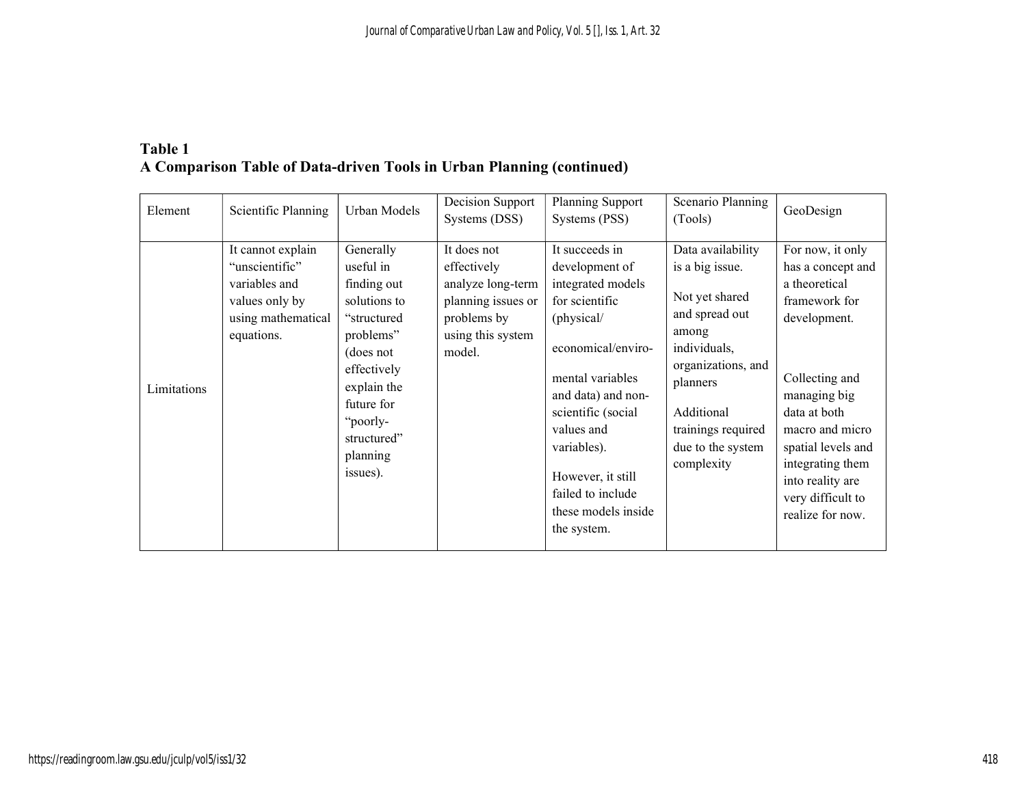# Table 1 A Comparison Table of Data-driven Tools in Urban Planning (continued)

| Element     | Scientific Planning                                                                                        | Urban Models                                                                                                                                                                                  | Decision Support<br>Systems (DSS)                                                                                   | Planning Support<br>Systems (PSS)                                                                                                                                                                                                                                                        | Scenario Planning<br>(Tools)                                                                                                                                                                               | GeoDesign                                                                                                                                                                                                                                                           |
|-------------|------------------------------------------------------------------------------------------------------------|-----------------------------------------------------------------------------------------------------------------------------------------------------------------------------------------------|---------------------------------------------------------------------------------------------------------------------|------------------------------------------------------------------------------------------------------------------------------------------------------------------------------------------------------------------------------------------------------------------------------------------|------------------------------------------------------------------------------------------------------------------------------------------------------------------------------------------------------------|---------------------------------------------------------------------------------------------------------------------------------------------------------------------------------------------------------------------------------------------------------------------|
| Limitations | It cannot explain<br>"unscientific"<br>variables and<br>values only by<br>using mathematical<br>equations. | Generally<br>useful in<br>finding out<br>solutions to<br>"structured<br>problems"<br>(does not<br>effectively<br>explain the<br>future for<br>"poorly-<br>structured"<br>planning<br>issues). | It does not<br>effectively<br>analyze long-term<br>planning issues or<br>problems by<br>using this system<br>model. | It succeeds in<br>development of<br>integrated models<br>for scientific<br>(physical/<br>economical/enviro-<br>mental variables<br>and data) and non-<br>scientific (social<br>values and<br>variables).<br>However, it still<br>failed to include<br>these models inside<br>the system. | Data availability<br>is a big issue.<br>Not yet shared<br>and spread out<br>among<br>individuals,<br>organizations, and<br>planners<br>Additional<br>trainings required<br>due to the system<br>complexity | For now, it only<br>has a concept and<br>a theoretical<br>framework for<br>development.<br>Collecting and<br>managing big<br>data at both<br>macro and micro<br>spatial levels and<br>integrating them<br>into reality are<br>very difficult to<br>realize for now. |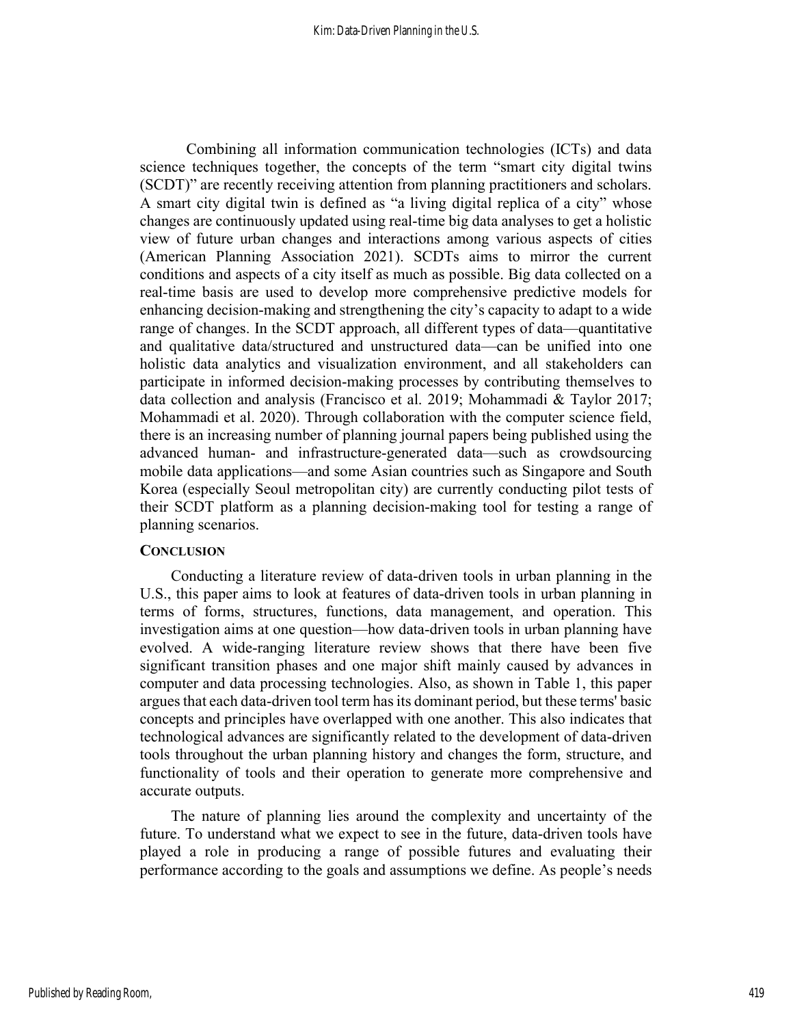Combining all information communication technologies (ICTs) and data science techniques together, the concepts of the term "smart city digital twins (SCDT)" are recently receiving attention from planning practitioners and scholars. A smart city digital twin is defined as "a living digital replica of a city" whose changes are continuously updated using real-time big data analyses to get a holistic view of future urban changes and interactions among various aspects of cities (American Planning Association 2021). SCDTs aims to mirror the current conditions and aspects of a city itself as much as possible. Big data collected on a real-time basis are used to develop more comprehensive predictive models for enhancing decision-making and strengthening the city's capacity to adapt to a wide range of changes. In the SCDT approach, all different types of data—quantitative and qualitative data/structured and unstructured data—can be unified into one holistic data analytics and visualization environment, and all stakeholders can participate in informed decision-making processes by contributing themselves to data collection and analysis (Francisco et al. 2019; Mohammadi & Taylor 2017; Mohammadi et al. 2020). Through collaboration with the computer science field, there is an increasing number of planning journal papers being published using the advanced human- and infrastructure-generated data—such as crowdsourcing mobile data applications—and some Asian countries such as Singapore and South Korea (especially Seoul metropolitan city) are currently conducting pilot tests of their SCDT platform as a planning decision-making tool for testing a range of planning scenarios.

#### **CONCLUSION**

Conducting a literature review of data-driven tools in urban planning in the U.S., this paper aims to look at features of data-driven tools in urban planning in terms of forms, structures, functions, data management, and operation. This investigation aims at one question—how data-driven tools in urban planning have evolved. A wide-ranging literature review shows that there have been five significant transition phases and one major shift mainly caused by advances in computer and data processing technologies. Also, as shown in Table 1, this paper argues that each data-driven tool term has its dominant period, but these terms' basic concepts and principles have overlapped with one another. This also indicates that technological advances are significantly related to the development of data-driven tools throughout the urban planning history and changes the form, structure, and functionality of tools and their operation to generate more comprehensive and accurate outputs.

The nature of planning lies around the complexity and uncertainty of the future. To understand what we expect to see in the future, data-driven tools have played a role in producing a range of possible futures and evaluating their performance according to the goals and assumptions we define. As people's needs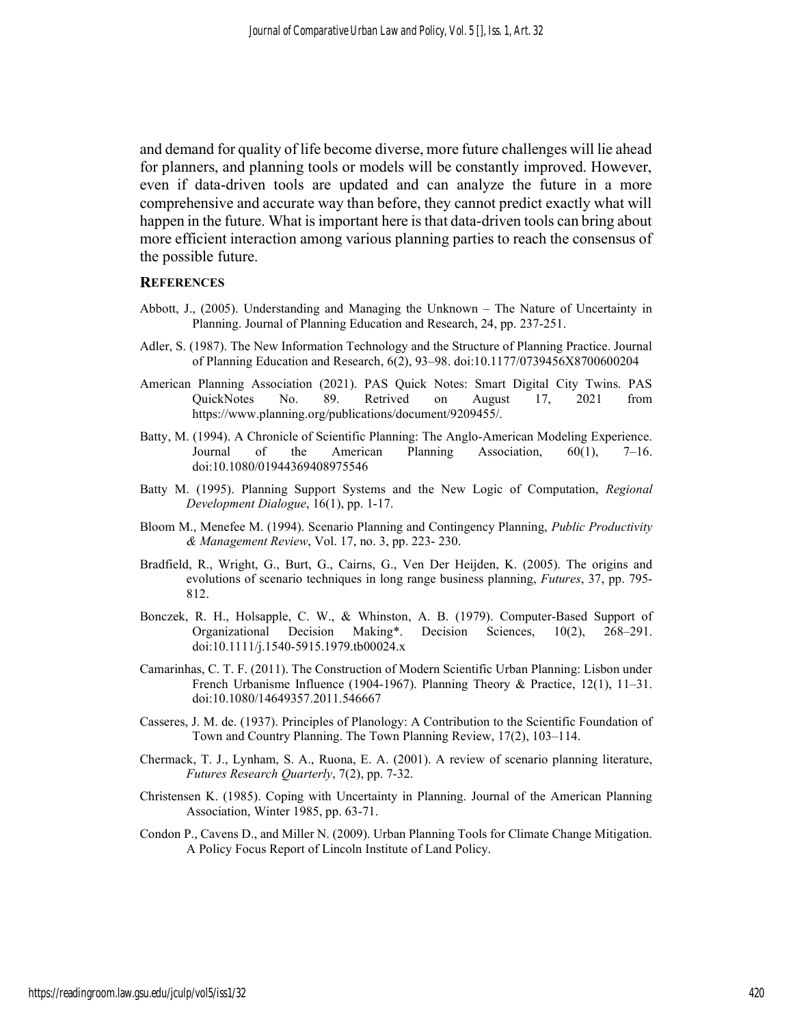and demand for quality of life become diverse, more future challenges will lie ahead for planners, and planning tools or models will be constantly improved. However, even if data-driven tools are updated and can analyze the future in a more comprehensive and accurate way than before, they cannot predict exactly what will happen in the future. What is important here is that data-driven tools can bring about more efficient interaction among various planning parties to reach the consensus of the possible future.

#### **REFERENCES**

- Abbott, J., (2005). Understanding and Managing the Unknown The Nature of Uncertainty in Planning. Journal of Planning Education and Research, 24, pp. 237-251.
- Adler, S. (1987). The New Information Technology and the Structure of Planning Practice. Journal of Planning Education and Research, 6(2), 93–98. doi:10.1177/0739456X8700600204
- American Planning Association (2021). PAS Quick Notes: Smart Digital City Twins. PAS QuickNotes No. 89. Retrived on August 17, 2021 from https://www.planning.org/publications/document/9209455/.
- Batty, M. (1994). A Chronicle of Scientific Planning: The Anglo-American Modeling Experience. Journal of the American Planning Association, 60(1), 7–16. doi:10.1080/01944369408975546
- Batty M. (1995). Planning Support Systems and the New Logic of Computation, Regional Development Dialogue, 16(1), pp. 1-17.
- Bloom M., Menefee M. (1994). Scenario Planning and Contingency Planning, *Public Productivity* & Management Review, Vol. 17, no. 3, pp. 223- 230.
- Bradfield, R., Wright, G., Burt, G., Cairns, G., Ven Der Heijden, K. (2005). The origins and evolutions of scenario techniques in long range business planning, Futures, 37, pp. 795- 812.
- Bonczek, R. H., Holsapple, C. W., & Whinston, A. B. (1979). Computer-Based Support of Organizational Decision Making\*. Decision Sciences, 10(2), 268–291. doi:10.1111/j.1540-5915.1979.tb00024.x
- Camarinhas, C. T. F. (2011). The Construction of Modern Scientific Urban Planning: Lisbon under French Urbanisme Influence (1904-1967). Planning Theory & Practice, 12(1), 11–31. doi:10.1080/14649357.2011.546667
- Casseres, J. M. de. (1937). Principles of Planology: A Contribution to the Scientific Foundation of Town and Country Planning. The Town Planning Review, 17(2), 103–114.
- Chermack, T. J., Lynham, S. A., Ruona, E. A. (2001). A review of scenario planning literature, Futures Research Quarterly, 7(2), pp. 7-32.
- Christensen K. (1985). Coping with Uncertainty in Planning. Journal of the American Planning Association, Winter 1985, pp. 63-71.
- Condon P., Cavens D., and Miller N. (2009). Urban Planning Tools for Climate Change Mitigation. A Policy Focus Report of Lincoln Institute of Land Policy.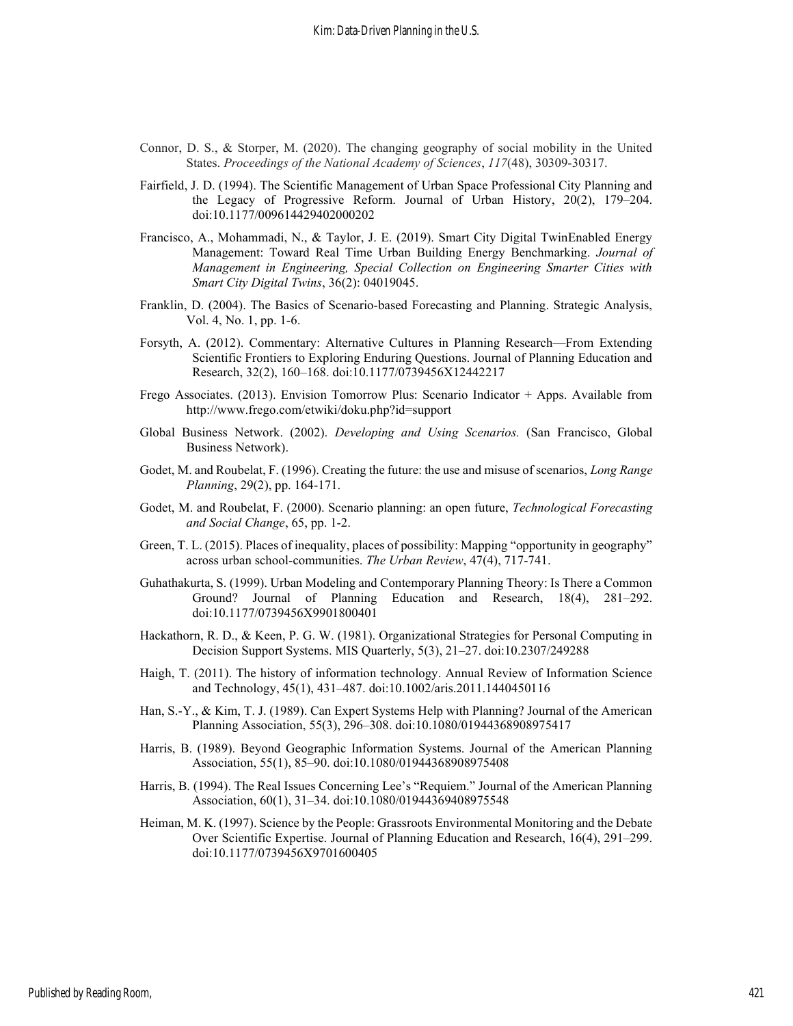- Connor, D. S., & Storper, M. (2020). The changing geography of social mobility in the United States. Proceedings of the National Academy of Sciences, 117(48), 30309-30317.
- Fairfield, J. D. (1994). The Scientific Management of Urban Space Professional City Planning and the Legacy of Progressive Reform. Journal of Urban History, 20(2), 179–204. doi:10.1177/009614429402000202
- Francisco, A., Mohammadi, N., & Taylor, J. E. (2019). Smart City Digital TwinEnabled Energy Management: Toward Real Time Urban Building Energy Benchmarking. Journal of Management in Engineering, Special Collection on Engineering Smarter Cities with Smart City Digital Twins, 36(2): 04019045.
- Franklin, D. (2004). The Basics of Scenario-based Forecasting and Planning. Strategic Analysis, Vol. 4, No. 1, pp. 1-6.
- Forsyth, A. (2012). Commentary: Alternative Cultures in Planning Research—From Extending Scientific Frontiers to Exploring Enduring Questions. Journal of Planning Education and Research, 32(2), 160–168. doi:10.1177/0739456X12442217
- Frego Associates. (2013). Envision Tomorrow Plus: Scenario Indicator + Apps. Available from http://www.frego.com/etwiki/doku.php?id=support
- Global Business Network. (2002). Developing and Using Scenarios. (San Francisco, Global Business Network).
- Godet, M. and Roubelat, F. (1996). Creating the future: the use and misuse of scenarios, Long Range Planning, 29(2), pp. 164-171.
- Godet, M. and Roubelat, F. (2000). Scenario planning: an open future, *Technological Forecasting* and Social Change, 65, pp. 1-2.
- Green, T. L. (2015). Places of inequality, places of possibility: Mapping "opportunity in geography" across urban school-communities. The Urban Review, 47(4), 717-741.
- Guhathakurta, S. (1999). Urban Modeling and Contemporary Planning Theory: Is There a Common Ground? Journal of Planning Education and Research, 18(4), 281–292. doi:10.1177/0739456X9901800401
- Hackathorn, R. D., & Keen, P. G. W. (1981). Organizational Strategies for Personal Computing in Decision Support Systems. MIS Quarterly, 5(3), 21–27. doi:10.2307/249288
- Haigh, T. (2011). The history of information technology. Annual Review of Information Science and Technology, 45(1), 431–487. doi:10.1002/aris.2011.1440450116
- Han, S.-Y., & Kim, T. J. (1989). Can Expert Systems Help with Planning? Journal of the American Planning Association, 55(3), 296–308. doi:10.1080/01944368908975417
- Harris, B. (1989). Beyond Geographic Information Systems. Journal of the American Planning Association, 55(1), 85–90. doi:10.1080/01944368908975408
- Harris, B. (1994). The Real Issues Concerning Lee's "Requiem." Journal of the American Planning Association, 60(1), 31–34. doi:10.1080/01944369408975548
- Heiman, M. K. (1997). Science by the People: Grassroots Environmental Monitoring and the Debate Over Scientific Expertise. Journal of Planning Education and Research, 16(4), 291–299. doi:10.1177/0739456X9701600405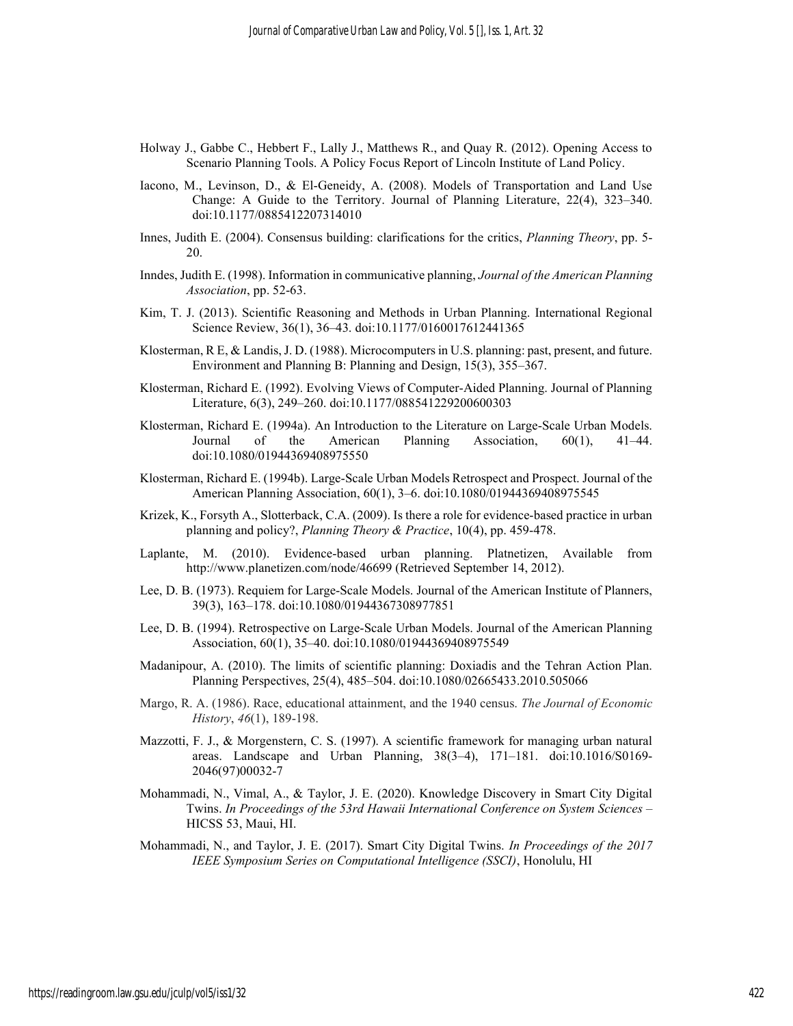- Holway J., Gabbe C., Hebbert F., Lally J., Matthews R., and Quay R. (2012). Opening Access to Scenario Planning Tools. A Policy Focus Report of Lincoln Institute of Land Policy.
- Iacono, M., Levinson, D., & El-Geneidy, A. (2008). Models of Transportation and Land Use Change: A Guide to the Territory. Journal of Planning Literature, 22(4), 323–340. doi:10.1177/0885412207314010
- Innes, Judith E. (2004). Consensus building: clarifications for the critics, Planning Theory, pp. 5-20.
- Inndes, Judith E. (1998). Information in communicative planning, Journal of the American Planning Association, pp. 52-63.
- Kim, T. J. (2013). Scientific Reasoning and Methods in Urban Planning. International Regional Science Review, 36(1), 36–43. doi:10.1177/0160017612441365
- Klosterman, R E, & Landis, J. D. (1988). Microcomputers in U.S. planning: past, present, and future. Environment and Planning B: Planning and Design, 15(3), 355–367.
- Klosterman, Richard E. (1992). Evolving Views of Computer-Aided Planning. Journal of Planning Literature, 6(3), 249–260. doi:10.1177/088541229200600303
- Klosterman, Richard E. (1994a). An Introduction to the Literature on Large-Scale Urban Models. Journal of the American Planning Association, 60(1), 41–44. doi:10.1080/01944369408975550
- Klosterman, Richard E. (1994b). Large-Scale Urban Models Retrospect and Prospect. Journal of the American Planning Association, 60(1), 3–6. doi:10.1080/01944369408975545
- Krizek, K., Forsyth A., Slotterback, C.A. (2009). Is there a role for evidence-based practice in urban planning and policy?, Planning Theory & Practice, 10(4), pp. 459-478.
- Laplante, M. (2010). Evidence-based urban planning. Platnetizen, Available from http://www.planetizen.com/node/46699 (Retrieved September 14, 2012).
- Lee, D. B. (1973). Requiem for Large-Scale Models. Journal of the American Institute of Planners, 39(3), 163–178. doi:10.1080/01944367308977851
- Lee, D. B. (1994). Retrospective on Large-Scale Urban Models. Journal of the American Planning Association, 60(1), 35–40. doi:10.1080/01944369408975549
- Madanipour, A. (2010). The limits of scientific planning: Doxiadis and the Tehran Action Plan. Planning Perspectives, 25(4), 485–504. doi:10.1080/02665433.2010.505066
- Margo, R. A. (1986). Race, educational attainment, and the 1940 census. The Journal of Economic History, 46(1), 189-198.
- Mazzotti, F. J., & Morgenstern, C. S. (1997). A scientific framework for managing urban natural areas. Landscape and Urban Planning, 38(3–4), 171–181. doi:10.1016/S0169- 2046(97)00032-7
- Mohammadi, N., Vimal, A., & Taylor, J. E. (2020). Knowledge Discovery in Smart City Digital Twins. In Proceedings of the 53rd Hawaii International Conference on System Sciences – HICSS 53, Maui, HI.
- Mohammadi, N., and Taylor, J. E. (2017). Smart City Digital Twins. In Proceedings of the 2017 IEEE Symposium Series on Computational Intelligence (SSCI), Honolulu, HI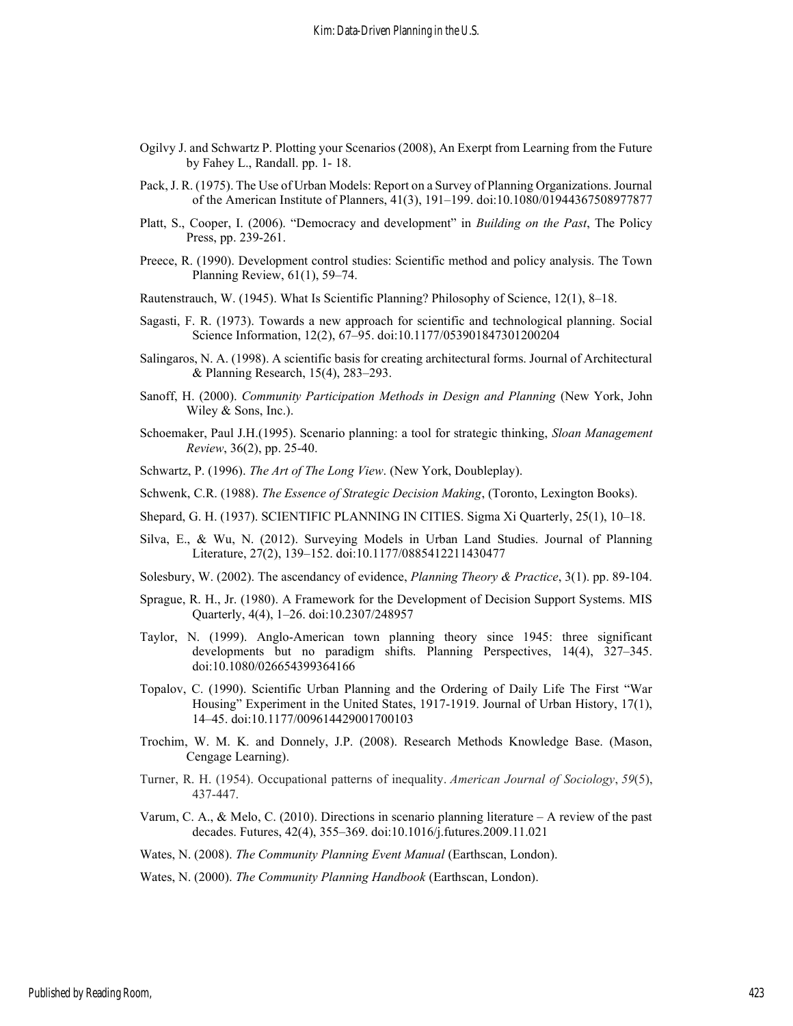- Ogilvy J. and Schwartz P. Plotting your Scenarios (2008), An Exerpt from Learning from the Future by Fahey L., Randall. pp. 1- 18.
- Pack, J. R. (1975). The Use of Urban Models: Report on a Survey of Planning Organizations. Journal of the American Institute of Planners, 41(3), 191–199. doi:10.1080/01944367508977877
- Platt, S., Cooper, I. (2006). "Democracy and development" in Building on the Past, The Policy Press, pp. 239-261.
- Preece, R. (1990). Development control studies: Scientific method and policy analysis. The Town Planning Review, 61(1), 59–74.
- Rautenstrauch, W. (1945). What Is Scientific Planning? Philosophy of Science, 12(1), 8–18.
- Sagasti, F. R. (1973). Towards a new approach for scientific and technological planning. Social Science Information, 12(2), 67–95. doi:10.1177/053901847301200204
- Salingaros, N. A. (1998). A scientific basis for creating architectural forms. Journal of Architectural & Planning Research, 15(4), 283–293.
- Sanoff, H. (2000). Community Participation Methods in Design and Planning (New York, John Wiley & Sons, Inc.).
- Schoemaker, Paul J.H.(1995). Scenario planning: a tool for strategic thinking, Sloan Management Review, 36(2), pp. 25-40.
- Schwartz, P. (1996). The Art of The Long View. (New York, Doubleplay).
- Schwenk, C.R. (1988). *The Essence of Strategic Decision Making*, (Toronto, Lexington Books).
- Shepard, G. H. (1937). SCIENTIFIC PLANNING IN CITIES. Sigma Xi Quarterly, 25(1), 10–18.
- Silva, E., & Wu, N. (2012). Surveying Models in Urban Land Studies. Journal of Planning Literature, 27(2), 139–152. doi:10.1177/0885412211430477
- Solesbury, W. (2002). The ascendancy of evidence, Planning Theory & Practice, 3(1). pp. 89-104.
- Sprague, R. H., Jr. (1980). A Framework for the Development of Decision Support Systems. MIS Quarterly, 4(4), 1–26. doi:10.2307/248957
- Taylor, N. (1999). Anglo-American town planning theory since 1945: three significant developments but no paradigm shifts. Planning Perspectives, 14(4), 327–345. doi:10.1080/026654399364166
- Topalov, C. (1990). Scientific Urban Planning and the Ordering of Daily Life The First "War Housing" Experiment in the United States, 1917-1919. Journal of Urban History, 17(1), 14–45. doi:10.1177/009614429001700103
- Trochim, W. M. K. and Donnely, J.P. (2008). Research Methods Knowledge Base. (Mason, Cengage Learning).
- Turner, R. H. (1954). Occupational patterns of inequality. American Journal of Sociology, 59(5), 437-447.
- Varum, C. A., & Melo, C. (2010). Directions in scenario planning literature A review of the past decades. Futures, 42(4), 355–369. doi:10.1016/j.futures.2009.11.021
- Wates, N. (2008). The Community Planning Event Manual (Earthscan, London).

Wates, N. (2000). The Community Planning Handbook (Earthscan, London).